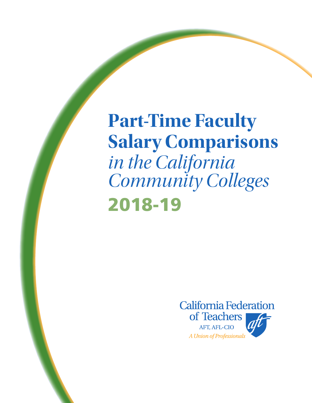**Part-Time Faculty Salary Comparisons**  *in the California Community Colleges*  2018-19

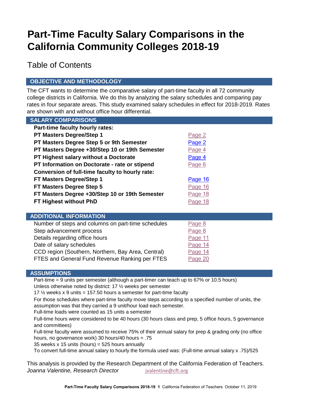# **Part-Time Faculty Salary Comparisons in the California Community Colleges 2018-19**

Table of Contents

## **OBJECTIVE AND METHODOLOGY**

The CFT wants to determine the comparative salary of part-time faculty in all 72 community college districts in California. We do this by analyzing the salary schedules and comparing pay rates in four separate areas. This study examined salary schedules in effect for 2018-2019. Rates are shown with and without office hour differential.

| <b>SALARY COMPARISONS</b>                       |                |
|-------------------------------------------------|----------------|
| Part-time faculty hourly rates:                 |                |
| <b>PT Masters Degree/Step 1</b>                 | Page 2         |
| PT Masters Degree Step 5 or 9th Semester        | Page 2         |
| PT Masters Degree +30/Step 10 or 19th Semester  | Page 4         |
| <b>PT Highest salary without a Doctorate</b>    | Page 4         |
| PT Information on Doctorate - rate or stipend   | Page 6         |
| Conversion of full-time faculty to hourly rate: |                |
| FT Masters Degree/Step 1                        | Page 16        |
| FT Masters Degree Step 5                        | Page 16        |
| FT Masters Degree +30/Step 10 or 19th Semester  | Page 18        |
| FT Highest without PhD                          | <u>Page 18</u> |
|                                                 |                |

### **ADDITIONAL INFORMATION**

| Number of steps and columns on part-time schedules | Page 8  |
|----------------------------------------------------|---------|
| Step advancement process                           | Page 8  |
| Details regarding office hours                     | Page 11 |
| Date of salary schedules                           | Page 14 |
| CCD region (Southern, Northern, Bay Area, Central) | Page 14 |
| FTES and General Fund Revenue Ranking per FTES     | Page 20 |

### **ASSUMPTIONS**

Part-time = 9 units per semester (although a part-timer can teach up to 67% or 10.5 hours) Unless otherwise noted by district: 17 ½ weeks per semester

17  $\frac{1}{2}$  weeks x 9 units = 157.50 hours a semester for part-time faculty

For those schedules where part-time faculty move steps according to a specified number of units, the assumption was that they carried a 9 unit/hour load each semester.

Full-time loads were counted as 15 units a semester

Full-time hours were considered to be 40 hours (30 hours class and prep, 5 office hours, 5 governance and committees)

Full-time faculty were assumed to receive 75% of their annual salary for prep & grading only (no office hours, no governance work) 30 hours/40 hours = .75

35 weeks  $x$  15 units (hours) = 525 hours annually

To convert full-time annual salary to hourly the formula used was: (Full-time annual salary x .75)/525

This analysis is provided by the Research Department of the California Federation of Teachers. **Joanna Valentine, Research Director** *[jvalentine@cft.org](mailto:jvalentine@cft.org)*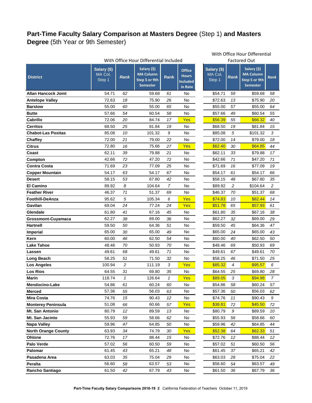## <span id="page-2-0"></span>**Part-Time Faculty Salary Comparison at Masters Degree** (Step 1) **and Masters Degree** (5th Year or 9th Semester)

|                            | With Office Hour Differential Included |                 |                                                                     |                |                                                             | <b>Factored Out</b>              |                |                                                                     |                |
|----------------------------|----------------------------------------|-----------------|---------------------------------------------------------------------|----------------|-------------------------------------------------------------|----------------------------------|----------------|---------------------------------------------------------------------|----------------|
| <b>District</b>            | Salary (\$)<br>MA Col,<br>Step 1       | <b>Rank</b>     | Salary (\$)<br><b>MA Column</b><br>Step 5 or 9th<br><b>Semester</b> | Rank           | <b>Office</b><br><b>Hours</b><br><b>Included</b><br>in Rate | Salary (\$)<br>MA Col,<br>Step 1 | <b>Rank</b>    | Salary (\$)<br><b>MA Column</b><br>Step 5 or 9th<br><b>Semester</b> | Ran            |
| <b>Allan Hancock Joint</b> | 54.71                                  | 62              | 59.68                                                               | 61             | No                                                          | \$54.71                          | 59             | \$59.68                                                             | 58             |
| <b>Antelope Valley</b>     | 72.63                                  | 18              | 75.90                                                               | 26             | No                                                          | \$72.63                          | 13             | \$75.90                                                             | 2 <sub>C</sub> |
| <b>Barstow</b>             | 55.00                                  | 60              | 55.00                                                               | 65             | No                                                          | \$55.00                          | 57             | \$55.00                                                             | 64             |
| <b>Butte</b>               | 57.66                                  | 54              | 60.54                                                               | 58             | No                                                          | \$57.66                          | 49             | \$60.54                                                             | 55             |
| Cabrillo                   | 72.06                                  | 20              | 84.74                                                               | 17             | Yes                                                         | \$56.39                          | 55             | \$66.32                                                             | 40             |
| <b>Cerritos</b>            | 68.50                                  | 25              | 81.84                                                               | 19             | No                                                          | \$68.50                          | 19             | \$81.84                                                             | 15             |
| <b>Chabot-Las Positas</b>  | 85.08                                  | 10              | 101.32                                                              | 9              | No                                                          | \$85.08                          | 5              | \$101.32                                                            | 3              |
| <b>Chaffey</b>             | 72.00                                  | 21              | 79.00                                                               | 22             | No                                                          | \$72.00                          | 14             | \$79.00                                                             | 18             |
| <b>Citrus</b>              | 72.80                                  | 16              | 75.66                                                               | 27             | Yes                                                         | \$62.40                          | 30             | \$64.85                                                             | 44             |
| Coast                      | 62.11                                  | 39              | 79.88                                                               | 21             | No                                                          | \$62.11                          | 33             | \$79.88                                                             | 17             |
| Compton                    | 42.66                                  | 72              | 47.20                                                               | 72             | No                                                          | \$42.66                          | 71             | \$47.20                                                             | 71             |
| <b>Contra Costa</b>        | 71.69                                  | 23              | 77.09                                                               | 25             | No                                                          | \$71.69                          | 16             | \$77.09                                                             | 1S             |
| <b>Copper Mountain</b>     | 54.17                                  | 63              | 54.17                                                               | 67             | No                                                          | \$54.17                          | 61             | \$54.17                                                             | 66             |
| <b>Desert</b>              | 58.15                                  | 53              | 67.80                                                               | 42             | No                                                          | \$58.15                          | 48             | \$67.80                                                             | 35             |
| <b>El Camino</b>           | 89.92                                  | 8               | 104.64                                                              | $\overline{7}$ | No                                                          | \$89.92                          | $\overline{c}$ | \$104.64                                                            | $\sqrt{2}$     |
| <b>Feather River</b>       | 46.37                                  | 71              | 51.37                                                               | 69             | No                                                          | \$46.37                          | 70             | \$51.37                                                             | 68             |
| <b>Foothill-DeAnza</b>     | 95.62                                  | 5               | 105.34                                                              | 6              | Yes                                                         | \$74.83                          | 10             | \$82.44                                                             | 14             |
| Gavilan                    | 69.04                                  | 24              | 77.24                                                               | 24             | Yes                                                         | \$51.78                          | 65             | \$57.93                                                             | 61             |
| Glendale                   | 61.80                                  | 41              | 67.16                                                               | 45             | No                                                          | \$61.80                          | 35             | \$67.16                                                             | 38             |
| <b>Grossmont-Cuyamaca</b>  | 62.27                                  | 38              | 69.00                                                               | 36             | No                                                          | \$62.27                          | 32             | \$69.00                                                             | 2 <sub>S</sub> |
| <b>Hartnell</b>            | 59.50                                  | 50              | 64.36                                                               | 51             | No                                                          | \$59.50                          | 45             | \$64.36                                                             | 47             |
| <b>Imperial</b>            | 65.00                                  | 30              | 65.00                                                               | 49             | No                                                          | \$65.00                          | 24             | \$65.00                                                             | 43             |
| Kern                       | 60.00                                  | 46              | 62.50                                                               | 54             | No                                                          | \$60.00                          | 40             | \$62.50                                                             | 50             |
| <b>Lake Tahoe</b>          | 48.46                                  | 70              | 50.93                                                               | 70             | No                                                          | \$48.46                          | 69             | \$50.93                                                             | 69             |
| Lassen                     | 49.61                                  | 68              | 49.61                                                               | 71             | No                                                          | \$49.61                          | 67             | \$49.61                                                             | 70             |
| <b>Long Beach</b>          | 58.25                                  | 51              | 71.50                                                               | 32             | No                                                          | \$58.25                          | 46             | \$71.50                                                             | 25             |
| <b>Los Angeles</b>         | 100.94                                 | 2               | 111.19                                                              | 3              | Yes                                                         | \$85.32                          | 4              | \$95.57                                                             | 6              |
| <b>Los Rios</b>            | 64.55                                  | 31              | 69.80                                                               | 35             | No                                                          | \$64.55                          | 25             | \$69.80                                                             | 28             |
| <b>Marin</b>               | 118.74                                 | 1               | 126.64                                                              | 1              | Yes                                                         | \$89.05                          | 3              | \$94.98                                                             | $\overline{7}$ |
| Mendocino-Lake             | 54.86                                  | 61              | 60.24                                                               | 60             | No                                                          | \$54.86                          | 58             | \$60.24                                                             | 57             |
| <b>Merced</b>              | 57.36                                  | 55              | 56.03                                                               | 63             | No                                                          | \$57.36                          | 50             | \$56.03                                                             | 62             |
| <b>Mira Costa</b>          | 74.76                                  | 15              | 90.43                                                               | 12             | No                                                          | \$74.76                          | 11             | \$90.43                                                             | 9              |
| <b>Monterey Peninsula</b>  | 51.08                                  | 66              | 60.66                                                               | 57             | Yes                                                         | \$38.81                          | 72             | \$45.50                                                             | 72             |
| Mt. San Antonio            | 80.79                                  | 12 <sup>2</sup> | 89.59                                                               | 13             | No                                                          | \$80.79                          | 9              | \$89.59                                                             | 10             |
| Mt. San Jacinto            | 55.93                                  | 59              | 58.66                                                               | 62             | No                                                          | \$55.93                          | 56             | \$58.66                                                             | <b>60</b>      |
| <b>Napa Valley</b>         | 59.96                                  | 47              | 64.85                                                               | 50             | No                                                          | \$59.96                          | 42             | \$64.85                                                             | 44             |
| <b>North Orange County</b> | 63.93                                  | 34              | 74.79                                                               | 30             | Yes                                                         | \$52.38                          | 64             | \$62.33                                                             | 51             |
| Ohlone                     | 72.76                                  | 17              | 88.44                                                               | 15             | No                                                          | \$72.76                          | 12             | \$88.44                                                             | 12             |
| Palo Verde                 | 57.02                                  | 56              | 60.50                                                               | 59             | No.                                                         | \$57.02                          | 51             | \$60.50                                                             | 56             |
| Palomar                    | 61.45                                  | 43              | 65.21                                                               | 48             | $\mathsf{No}$                                               | \$61.45                          | 37             | \$65.21                                                             | 42             |
| Pasadena Area              | 63.03                                  | 35              | 75.04                                                               | 29             | No                                                          | \$63.03                          | 28             | \$75.04                                                             | 22             |
| Peralta                    | 56.60                                  | 58              | 63.57                                                               | 53             | No                                                          | \$56.60                          | 54             | \$63.57                                                             | 49             |
| Rancho Santiago            | 61.50                                  | 42              | 67.79                                                               | 43             | No                                                          | \$61.50                          | 36             | \$67.79                                                             | 36             |

#### With Office Hour Differential With Office Hour Differential Included Factored Out

|                                  |                | Factored Out                                                 |                         |
|----------------------------------|----------------|--------------------------------------------------------------|-------------------------|
| Salary (\$)<br>MA Col,<br>Step 1 | <b>Rank</b>    | Salary (\$)<br><b>MA Column</b><br>Step 5 or 9th<br>Semester | <b>Rank</b>             |
| \$54.71                          | 59             | \$59.68                                                      | 58                      |
| \$72.63                          | 13             | \$75.90                                                      | 20                      |
| \$55.00                          | 57             | \$55.00                                                      | 64                      |
| \$57.66                          | 49             | \$60.54                                                      | 55                      |
| \$56.39                          | 55             | \$66.32                                                      | 40                      |
| \$68.50                          | 19             | \$81.84                                                      | 15                      |
| \$85.08                          | 5              | \$101.32                                                     | 3                       |
| \$72.00                          | 14             | \$79.00                                                      | 18                      |
| \$62.40                          | 30             | \$64.85                                                      | 44                      |
| \$62.11                          | 33             | \$79.88                                                      | 17                      |
| \$42.66                          | 71             | \$47.20                                                      | 71                      |
| \$71.69                          | 16             | \$77.09                                                      | 19                      |
| \$54.17                          | 61             | \$54.17                                                      | 66                      |
| \$58.15                          | 48             | \$67.80                                                      | 35                      |
| \$89.92                          | $\overline{c}$ | \$104.64                                                     | $\overline{\mathbf{c}}$ |
| \$46.37                          | 70             | \$51.37                                                      | 68                      |
| \$74.83                          | 10             | \$82.44                                                      | 14                      |
| \$51.78                          | 65             | \$57.93                                                      | 61                      |
| \$61.80                          | 35             | \$67.16                                                      | 38                      |
| \$62.27                          | 32             | \$69.00                                                      | 29                      |
| \$59.50                          | 45             | \$64.36                                                      | 47                      |
| \$65.00                          | 24             | \$65.00                                                      | 43                      |
| \$60.00                          | 40             | \$62.50                                                      | 50                      |
| \$48.46                          | 69             | \$50.93                                                      | 69                      |
| \$49.61                          | 67             | \$49.61                                                      | 70                      |
| \$58.25                          | 46             | \$71.50                                                      | 25                      |
| \$85.32                          | 4              | \$95.57                                                      | 6                       |
| \$64.55                          | 25             | \$69.80                                                      | 28                      |
| \$89.05                          | 3              | \$94.98                                                      | 7                       |
| \$54.86                          | 58             | \$60.24                                                      | 57                      |
| \$57.36                          | 50             | \$56.03                                                      | 62                      |
| \$74.76                          | 11             | \$90.43                                                      | 9                       |
| <u>\$38.81</u>                   | 72             | \$45.50                                                      | 72                      |
| \$80.79                          | 9              | \$89.59                                                      | 10                      |
| \$55.93                          | 56             | \$58.66                                                      | 60                      |
| \$59.96                          |                | \$64.85                                                      |                         |
| \$52.38                          | 42             | \$62.33                                                      | 44                      |
| \$72.76                          | 64<br>12       | \$88.44                                                      | 51<br>12                |
| \$57.02                          | 51             | \$60.50                                                      | 56                      |
| \$61.45                          | 37             | \$65.21                                                      | 42                      |
|                                  |                | \$75.04                                                      |                         |
| \$63.03<br>\$56.60               | 28<br>54       | \$63.57                                                      | 22<br>49                |
| \$61.50                          | 36             | \$67.79                                                      | 36                      |
|                                  |                |                                                              |                         |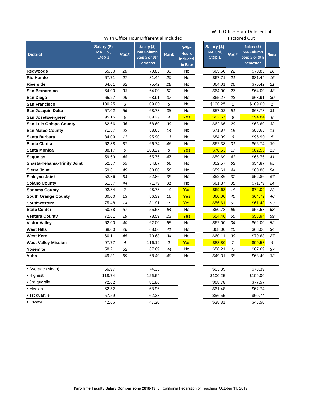### With Office Hour Differential Included

| <b>District</b>                    | Salary (\$)<br>MA Col,<br>Step 1 | <b>Rank</b>    | Salary (\$)<br><b>MA Column</b><br>Step 5 or 9th<br><b>Semester</b> | Rank           | <b>Office</b><br><b>Hours</b><br><b>Included</b><br>in Rate | Salary (\$)<br>MA Col,<br>Step 1 | <b>Rank</b>  | Salary (\$)<br><b>MA Column</b><br>Step 5 or 9th<br><b>Semester</b> | Ran            |
|------------------------------------|----------------------------------|----------------|---------------------------------------------------------------------|----------------|-------------------------------------------------------------|----------------------------------|--------------|---------------------------------------------------------------------|----------------|
| <b>Redwoods</b>                    | 65.50                            | 28             | 70.83                                                               | 33             | No                                                          | \$65.50                          | 22           | \$70.83                                                             | 26             |
| <b>Rio Hondo</b>                   | 67.71                            | 27             | 81.44                                                               | 20             | No                                                          | \$67.71                          | 21           | \$81.44                                                             | 16             |
| <b>Riverside</b>                   | 64.01                            | 32             | 75.42                                                               | 28             | No                                                          | \$64.01                          | 26           | \$75.42                                                             | 21             |
| San Bernardino                     | 64.00                            | 33             | 64.00                                                               | 52             | <b>No</b>                                                   | \$64.00                          | 27           | \$64.00                                                             | 48             |
| <b>San Diego</b>                   | 65.27                            | 29             | 68.91                                                               | 37             | No.                                                         | \$65.27                          | 23           | \$68.91                                                             | 3 <sub>C</sub> |
| <b>San Francisco</b>               | 100.25                           | 3              | 109.00                                                              | 5              | No                                                          | \$100.25                         | $\mathbf{1}$ | \$109.00                                                            | 1              |
| San Joaquin Delta                  | 57.02                            | 56             | 68.78                                                               | 38             | No                                                          | \$57.02                          | 51           | \$68.78                                                             | 31             |
| San Jose/Evergreen                 | 95.15                            | 6              | 109.29                                                              | 4              | Yes                                                         | \$82.57                          | 8            | \$94.84                                                             | 8              |
| <b>San Luis Obispo County</b>      | 62.66                            | 36             | 68.60                                                               | 39             | No                                                          | \$62.66                          | 29           | \$68.60                                                             | 32             |
| <b>San Mateo County</b>            | 71.87                            | 22             | 88.65                                                               | 14             | <b>No</b>                                                   | \$71.87                          | 15           | \$88.65                                                             | 11             |
| Santa Barbara                      | 84.09                            | 11             | 95.90                                                               | 11             | No                                                          | \$84.09                          | 6            | \$95.90                                                             | 5              |
| <b>Santa Clarita</b>               | 62.38                            | 37             | 66.74                                                               | 46             | No                                                          | \$62.38                          | 31           | \$66.74                                                             | 39             |
| <b>Santa Monica</b>                | 88.17                            | 9              | 103.22                                                              | 8              | Yes                                                         | \$70.53                          | 17           | \$82.58                                                             | 13             |
| <b>Sequoias</b>                    | 59.69                            | 48             | 65.76                                                               | 47             | <b>No</b>                                                   | \$59.69                          | 43           | \$65.76                                                             | 41             |
| <b>Shasta-Tehama-Trinity Joint</b> | 52.57                            | 65             | 54.87                                                               | 66             | <b>No</b>                                                   | \$52.57                          | 63           | \$54.87                                                             | 65             |
| <b>Sierra Joint</b>                | 59.61                            | 49             | 60.80                                                               | 56             | No                                                          | \$59.61                          | 44           | \$60.80                                                             | 54             |
| <b>Siskiyou Joint</b>              | 52.86                            | 64             | 52.86                                                               | 68             | No                                                          | \$52.86                          | 62           | \$52.86                                                             | 67             |
| <b>Solano County</b>               | 61.37                            | 44             | 71.79                                                               | 31             | No                                                          | \$61.37                          | 38           | \$71.79                                                             | 24             |
| <b>Sonoma County</b>               | 92.84                            | $\overline{7}$ | 98.78                                                               | 10             | Yes                                                         | \$69.63                          | 18           | \$74.09                                                             | 23             |
| <b>South Orange County</b>         | 80.00                            | 13             | 86.39                                                               | 16             | Yes                                                         | \$60.00                          | 40           | \$64.79                                                             | 46             |
| <b>Southwestern</b>                | 75.48                            | 14             | 81.91                                                               | 18             | Yes                                                         | \$56.61                          | 53           | \$61.43                                                             | 53             |
| <b>State Center</b>                | 50.78                            | 67             | 55.58                                                               | 64             | No                                                          | \$50.78                          | 66           | \$55.58                                                             | 63             |
| <b>Ventura County</b>              | 72.61                            | 19             | 78.59                                                               | 23             | Yes                                                         | \$54.46                          | 60           | \$58.94                                                             | 59             |
| <b>Victor Valley</b>               | 62.00                            | 40             | 62.00                                                               | 55             | No                                                          | \$62.00                          | 34           | \$62.00                                                             | 52             |
| <b>West Hills</b>                  | 68.00                            | 26             | 68.00                                                               | 41             | <b>No</b>                                                   | \$68.00                          | 20           | \$68.00                                                             | 34             |
| <b>West Kern</b>                   | 60.11                            | 45             | 70.63                                                               | 34             | No                                                          | \$60.11                          | 39           | \$70.63                                                             | 27             |
| <b>West Valley-Mission</b>         | 97.77                            | 4              | 116.12                                                              | $\overline{c}$ | Yes                                                         | \$83.80                          | 7            | \$99.53                                                             | 4              |
| Yosemite                           | 58.21                            | 52             | 67.69                                                               | 44             | No                                                          | \$58.21                          | 47           | \$67.69                                                             | 37             |
| Yuba                               | 49.31                            | 69             | 68.40                                                               | 40             | No                                                          | \$49.31                          | 68           | \$68.40                                                             | 33             |
| • Average (Mean)                   | 66.97                            |                | 74.35                                                               |                |                                                             | \$63.39                          |              | \$70.39                                                             |                |
| • Highest                          | 118.74                           |                | 126.64                                                              |                |                                                             | \$100.25                         |              | \$109.00                                                            |                |
| • 3rd quartile                     | 72.62                            |                | 81.86                                                               |                |                                                             | \$68.78                          |              | \$77.57                                                             |                |
| • Median                           | 62.52                            |                | 68.96                                                               |                |                                                             | \$61.48                          |              | \$67.74                                                             |                |
| • 1st quartile                     | 57.59                            |                | 62.38                                                               |                |                                                             | \$56.55                          |              | \$60.74                                                             |                |
| • Lowest                           | 42.66                            |                | 47.20                                                               |                |                                                             | \$38.81                          |              | \$45.50                                                             |                |

# With Office Hour Differential

|                                  |             | Factored Out                                                        |      |
|----------------------------------|-------------|---------------------------------------------------------------------|------|
| Salary (\$)<br>MA Col,<br>Step 1 | <b>Rank</b> | Salary (\$)<br><b>MA Column</b><br>Step 5 or 9th<br><b>Semester</b> | Rank |
| \$65.50                          | 22          | \$70.83                                                             | 26   |
| \$67.71                          | 21          | \$81.44                                                             | 16   |
| \$64.01                          | 26          | \$75.42                                                             | 21   |
| \$64.00                          | 27          | \$64.00                                                             | 48   |
| \$65.27                          | 23          | \$68.91                                                             | 30   |
| \$100.25                         | 1           | \$109.00                                                            | 1    |
| \$57.02                          | 51          | \$68.78                                                             | 31   |
| \$82.57                          | 8           | \$94.84                                                             | 8    |
| \$62.66                          | 29          | \$68.60                                                             | 32   |
| \$71.87                          | 15          | \$88.65                                                             | 11   |
| \$84.09                          | 6           | \$95.90                                                             | 5    |
| \$62.38                          | 31          | \$66.74                                                             | 39   |
| \$70.53                          | 17          | \$82.58                                                             | 13   |
| \$59.69                          | 43          | \$65.76                                                             | 41   |
| \$52.57                          | 63          | \$54.87                                                             | 65   |
| \$59.61                          | 44          | \$60.80                                                             | 54   |
| \$52.86                          | 62          | \$52.86                                                             | 67   |
| \$61.37                          | 38          | \$71.79                                                             | 24   |
| \$69.63                          | 18          | \$74.09                                                             | 23   |
| \$60.00                          | 40          | \$64.79                                                             | 46   |
| \$56.61                          | 53          | \$61.43                                                             | 53   |
| \$50.78                          | 66          | \$55.58                                                             | 63   |
| \$54.46                          | 60          | \$58.94                                                             | 59   |
| \$62.00                          | 34          | \$62.00                                                             | 52   |
| \$68.00                          | 20          | \$68.00                                                             | 34   |
| \$60.11                          | 39          | \$70.63                                                             | 27   |
| \$83.80                          | 7           | \$99.53                                                             | 4    |
| \$58.21                          | 47          | \$67.69                                                             | 37   |
| \$49.31                          | 68          | \$68.40                                                             | 33   |
|                                  |             |                                                                     |      |
| \$63.39                          |             | \$70.39                                                             |      |
| \$100.25                         |             | \$109.00                                                            |      |
| \$68.78                          |             | \$77.57                                                             |      |
| \$61.48                          |             | \$67.74                                                             |      |
| \$56.55                          |             | \$60.74                                                             |      |
| \$38.81                          |             | \$45.50                                                             |      |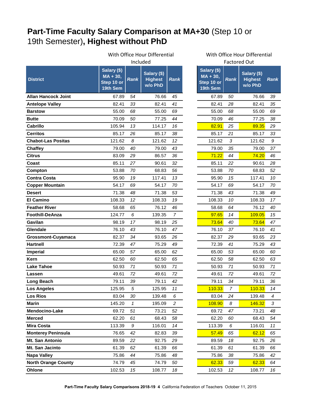## <span id="page-4-0"></span>**Part-Time Faculty Salary Comparison at MA+30** (Step 10 or 19th Semester)**, Highest without PhD**

|                            | With Office Hour Differential                       |             |                                          |                     |                                                     |                | With Office Hour Differential            |                |
|----------------------------|-----------------------------------------------------|-------------|------------------------------------------|---------------------|-----------------------------------------------------|----------------|------------------------------------------|----------------|
|                            | Included                                            |             |                                          | <b>Factored Out</b> |                                                     |                |                                          |                |
| <b>District</b>            | Salary (\$)<br>$MA + 30,$<br>Step 10 or<br>19th Sem | <b>Rank</b> | Salary (\$)<br><b>Highest</b><br>w/o PhD | <b>Rank</b>         | Salary (\$)<br>$MA + 30,$<br>Step 10 or<br>19th Sem | <b>Rank</b>    | Salary (\$)<br><b>Highest</b><br>w/o PhD | Rar            |
| <b>Allan Hancock Joint</b> | 67.89                                               | 54          | 76.66                                    | 45                  | 67.89                                               | 50             | 76.66                                    | 39             |
| <b>Antelope Valley</b>     | 82.41                                               | 33          | 82.41                                    | 41                  | 82.41                                               | 28             | 82.41                                    | 35             |
| <b>Barstow</b>             | 55.00                                               | 68          | 55.00                                    | 69                  | 55.00                                               | 68             | 55.00                                    | 69             |
| <b>Butte</b>               | 70.09                                               | 50          | 77.25                                    | 44                  | 70.09                                               | 46             | 77.25                                    | 38             |
| <b>Cabrillo</b>            | 105.94                                              | 13          | 114.17                                   | 16                  | 82.91                                               | 25             | 89.35                                    | 29             |
| <b>Cerritos</b>            | 85.17                                               | 26          | 85.17                                    | 38                  | 85.17                                               | 21             | 85.17                                    | 33             |
| <b>Chabot-Las Positas</b>  | 121.62                                              | 8           | 121.62                                   | 12                  | 121.62                                              | 3              | 121.62                                   | 9              |
| <b>Chaffey</b>             | 79.00                                               | 40          | 79.00                                    | 43                  | 79.00                                               | 35             | 79.00                                    | 37             |
| <b>Citrus</b>              | 83.09                                               | 29          | 86.57                                    | 36                  | 71.22                                               | 44             | 74.20                                    | 46             |
| Coast                      | 85.11                                               | 27          | 90.61                                    | 32                  | 85.11                                               | 22             | 90.61                                    | $2\epsilon$    |
| Compton                    | 53.88                                               | 70          | 68.83                                    | 56                  | 53.88                                               | 70             | 68.83                                    | 52             |
| <b>Contra Costa</b>        | 95.90                                               | 19          | 117.41                                   | 13                  | 95.90                                               | 15             | 117.41                                   | 1 <sub>0</sub> |
| <b>Copper Mountain</b>     | 54.17                                               | 69          | 54.17                                    | 70                  | 54.17                                               | 69             | 54.17                                    | 70             |
| <b>Desert</b>              | 71.38                                               | 48          | 71.38                                    | 53                  | 71.38                                               | 43             | 71.38                                    | 49             |
| <b>El Camino</b>           | 108.33                                              | 12          | 108.33                                   | 19                  | 108.33                                              | 10             | 108.33                                   | 17             |
| <b>Feather River</b>       | 58.68                                               | 65          | 76.12                                    | 46                  | 58.68                                               | 64             | 76.12                                    | 40             |
| <b>Foothill-DeAnza</b>     | 124.77                                              | 6           | 139.35                                   | $\overline{7}$      | 97.65                                               | 14             | 109.05                                   | 15             |
| Gavilan                    | 98.19                                               | 17          | 98.19                                    | 25                  | 73.64                                               | 40             | 73.64                                    | 47             |
| Glendale                   | 76.10                                               | 43          | 76.10                                    | 47                  | 76.10                                               | 37             | 76.10                                    | 4 <sub>1</sub> |
| <b>Grossmont-Cuyamaca</b>  | 82.37                                               | 34          | 93.65                                    | 26                  | 82.37                                               | 29             | 93.65                                    | 23             |
| <b>Hartnell</b>            | 72.39                                               | 47          | 75.29                                    | 49                  | 72.39                                               | 41             | 75.29                                    | 43             |
| <b>Imperial</b>            | 65.00                                               | 57          | 65.00                                    | 62                  | 65.00                                               | 53             | 65.00                                    | 60             |
| Kern                       | 62.50                                               | 60          | 62.50                                    | 65                  | 62.50                                               | 58             | 62.50                                    | 63             |
| <b>Lake Tahoe</b>          | 50.93                                               | 71          | 50.93                                    | 71                  | 50.93                                               | 71             | 50.93                                    | 7 <sub>1</sub> |
| Lassen                     | 49.61                                               | 72          | 49.61                                    | 72                  | 49.61                                               | 72             | 49.61                                    | 72             |
| <b>Long Beach</b>          | 79.11                                               | 39          | 79.11                                    | 42                  | 79.11                                               | 34             | 79.11                                    | 36             |
| <b>Los Angeles</b>         | 125.95                                              | 5           | 125.95                                   | 11                  | 110.33                                              | $\overline{7}$ | 110.33                                   | 14             |
| <b>Los Rios</b>            | 83.04                                               | 30          | 139.48                                   | 6                   | 83.04                                               | 24             | 139.48                                   | 4              |
| Marin                      | 145.20                                              | 1           | 195.09                                   | $\overline{c}$      | 108.90                                              | 8              | 146.32                                   | 3              |
| Mendocino-Lake             | 69.72                                               | 51          | 73.21                                    | 52                  | 69.72                                               | 47             | 73.21                                    | 48             |
| <b>Merced</b>              | 62.20                                               | 61          | 68.43                                    | 58                  | 62.20                                               | 60             | 68.43                                    | 54             |
| <b>Mira Costa</b>          | 113.39                                              | 9           | 116.01                                   | 14                  | 113.39                                              | 6              | 116.01                                   | 11             |
| <b>Monterey Peninsula</b>  | 76.65                                               | 42          | 82.83                                    | 39                  | 57.49                                               | 65             | 62.12                                    | 65             |
| Mt. San Antonio            | 89.59                                               | 22          | 92.75                                    | 29                  | 89.59                                               | 18             | 92.75                                    | 26             |
| Mt. San Jacinto            | 61.39                                               | 62          | 61.39                                    | 66                  | 61.39                                               | 61             | 61.39                                    | 66             |
| <b>Napa Valley</b>         | 75.86                                               | 44          | 75.86                                    | 48                  | 75.86                                               | 38             | 75.86                                    | 42             |
| <b>North Orange County</b> | 74.79                                               | 45          | 74.79                                    | 50                  | 62.33                                               | 59             | 62.33                                    | 64             |
| Ohlone                     | 102.53                                              | 15          | 108.77                                   | 18                  | 102.53                                              | 12             | 108.77                                   | 16             |

| With Office Hour Differential |
|-------------------------------|
|                               |

| <b>Factored Out</b>                                 |             |                                          |             |  |  |  |
|-----------------------------------------------------|-------------|------------------------------------------|-------------|--|--|--|
| Salary (\$)<br>$MA + 30,$<br>Step 10 or<br>19th Sem | <b>Rank</b> | Salary (\$)<br><b>Highest</b><br>w/o PhD | <b>Rank</b> |  |  |  |
| 67.89                                               | 50          | 76.66                                    | 39          |  |  |  |
| 82.41                                               | 28          | 82.41                                    | 35          |  |  |  |
| 55.00                                               | 68          | 55.00                                    | 69          |  |  |  |
| 70.09                                               | 46          | 77.25                                    | 38          |  |  |  |
| 82.91                                               | 25          | 89.35                                    | 29          |  |  |  |
| 85.17                                               | 21          | 85.17                                    | 33          |  |  |  |
| 121.62                                              | 3           | 121.62                                   | 9           |  |  |  |
| 79.00                                               | 35          | 79.00                                    | 37          |  |  |  |
| 71.22                                               | 44          | 74.20                                    | 46          |  |  |  |
| 85.11                                               | 22          | 90.61                                    | 28          |  |  |  |
| 53.88                                               | 70          | 68.83                                    | 52          |  |  |  |
| 95.90                                               | 15          | 117.41                                   | 10          |  |  |  |
| 54.17                                               | 69          | 54.17                                    | 70          |  |  |  |
| 71.38                                               | 43          | 71.38                                    | 49          |  |  |  |
| 108.33                                              | 10          | 108.33                                   | 17          |  |  |  |
| 58.68                                               | 64          | 76.12                                    | 40          |  |  |  |
| 97.65                                               | 14          | 109.05                                   | 15          |  |  |  |
| 73.64                                               | 40          | 73.64                                    | 47          |  |  |  |
| 76.10                                               | 37          | 76.10                                    | 41          |  |  |  |
| 82.37                                               | 29          | 93.65                                    | 23          |  |  |  |
| 72.39                                               | 41          | 75.29                                    | 43          |  |  |  |
| 65.00                                               | 53          | 65.00                                    | 60          |  |  |  |
| 62.50                                               | 58          | 62.50                                    | 63          |  |  |  |
| 50.93                                               | 71          | 50.93                                    | 71          |  |  |  |
| 49.61                                               | 72          | 49.61                                    | 72          |  |  |  |
| 79.11                                               | 34          | 79.11                                    | 36          |  |  |  |
| 110.33                                              | 7           | 110.33                                   | 14          |  |  |  |
| 83.04                                               | 24          | 139.48                                   | 4           |  |  |  |
| 108.90                                              | 8           | <b>146.32</b>                            | 3           |  |  |  |
| 69.72                                               | 47          | 73.21                                    | 48          |  |  |  |
| 62.20                                               | 60          | 68.43                                    | 54          |  |  |  |
| 113.39                                              | 6           | 116.01                                   | 11          |  |  |  |
| <u>57.49</u>                                        | 65          | 62.12                                    | 65          |  |  |  |
| 89.59                                               | 18          | 92.75                                    | 26          |  |  |  |
| 61.39                                               | 61          | 61.39                                    | 66          |  |  |  |
| 75.86                                               | 38          | 75.86                                    | 42          |  |  |  |
| 62.33                                               | 59          | 62.33                                    | 64          |  |  |  |
| 102.53                                              | 12          | 108.77                                   | 16          |  |  |  |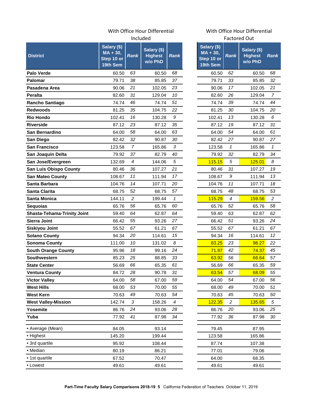#### With Office Hour Differential With Office Hour Differential Included

|                                    |                                                     |                | mciuded                                  |                  |                                                     |                  | Factored Out                             |                |
|------------------------------------|-----------------------------------------------------|----------------|------------------------------------------|------------------|-----------------------------------------------------|------------------|------------------------------------------|----------------|
| <b>District</b>                    | Salary (\$)<br>$MA + 30,$<br>Step 10 or<br>19th Sem | <b>Rank</b>    | Salary (\$)<br><b>Highest</b><br>w/o PhD | <b>Rank</b>      | Salary (\$)<br>$MA + 30,$<br>Step 10 or<br>19th Sem | <b>Rank</b>      | Salary (\$)<br><b>Highest</b><br>w/o PhD | Rar            |
| <b>Palo Verde</b>                  | 60.50                                               | 63             | 60.50                                    | 68               | 60.50                                               | 62               | 60.50                                    | 68             |
| Palomar                            | 79.71                                               | 38             | 85.85                                    | 37               | 79.71                                               | 33               | 85.85                                    | 32             |
| Pasadena Area                      | 90.06                                               | 21             | 102.05                                   | 23               | 90.06                                               | 17               | 102.05                                   | 2 <sub>1</sub> |
| <b>Peralta</b>                     | 82.60                                               | 31             | 129.04                                   | 10               | 82.60                                               | 26               | 129.04                                   | $\overline{7}$ |
| Rancho Santiago                    | 74.74                                               | 46             | 74.74                                    | 51               | 74.74                                               | 39               | 74.74                                    | 44             |
| <b>Redwoods</b>                    | 81.25                                               | 35             | 104.75                                   | 22               | 81.25                                               | 30               | 104.75                                   | 20             |
| <b>Rio Hondo</b>                   | 102.41                                              | 16             | 130.28                                   | 9                | 102.41                                              | 13               | 130.28                                   | 6              |
| <b>Riverside</b>                   | 87.12                                               | 23             | 87.12                                    | 35               | 87.12                                               | 19               | 87.12                                    | 3 <sub>1</sub> |
| <b>San Bernardino</b>              | 64.00                                               | 58             | 64.00                                    | 63               | 64.00                                               | 54               | 64.00                                    | 61             |
| San Diego                          | 82.42                                               | 32             | 90.87                                    | 30               | 82.42                                               | 27               | 90.87                                    | 27             |
| <b>San Francisco</b>               | 123.58                                              | $\overline{7}$ | 165.86                                   | 3                | 123.58                                              | $\mathbf{1}$     | 165.86                                   | 1              |
| San Joaquin Delta                  | 79.92                                               | 37             | 82.79                                    | 40               | 79.92                                               | 32               | 82.79                                    | 34             |
| San Jose/Evergreen                 | 132.69                                              | 4              | 144.06                                   | $\sqrt{5}$       | 115.15                                              | $\sqrt{5}$       | 125.01                                   | 8              |
| <b>San Luis Obispo County</b>      | 80.46                                               | 36             | 107.27                                   | 21               | 80.46                                               | 31               | 107.27                                   | 19             |
| <b>San Mateo County</b>            | 108.67                                              | 11             | 111.94                                   | 17               | 108.67                                              | 9                | 111.94                                   | 13             |
| Santa Barbara                      | 104.76                                              | 14             | 107.71                                   | 20               | 104.76                                              | 11               | 107.71                                   | 18             |
| Santa Clarita                      | 68.75                                               | 52             | 68.75                                    | 57               | 68.75                                               | 48               | 68.75                                    | 53             |
| <b>Santa Monica</b>                | 144.11                                              | $\overline{c}$ | 199.44                                   | $\mathbf{1}$     | 115.29                                              | $\boldsymbol{4}$ | 159.56                                   | $\overline{c}$ |
| <b>Sequoias</b>                    | 65.76                                               | 56             | 65.76                                    | 60               | 65.76                                               | 52               | 65.76                                    | 58             |
| <b>Shasta-Tehama-Trinity Joint</b> | 59.40                                               | 64             | 62.87                                    | 64               | 59.40                                               | 63               | 62.87                                    | 62             |
| <b>Sierra Joint</b>                | 66.42                                               | 55             | 93.26                                    | 27               | 66.42                                               | 51               | 93.26                                    | 24             |
| <b>Siskiyou Joint</b>              | 55.52                                               | 67             | 61.21                                    | 67               | 55.52                                               | 67               | 61.21                                    | 67             |
| <b>Solano County</b>               | 94.34                                               | 20             | 114.61                                   | 15               | 94.34                                               | 16               | 114.61                                   | 12             |
| <b>Sonoma County</b>               | 111.00                                              | 10             | 131.02                                   | 8                | 83.25                                               | 23               | 98.27                                    | 22             |
| <b>South Orange County</b>         | 95.96                                               | 18             | 99.16                                    | 24               | 71.97                                               | 42               | 74.37                                    | 45             |
| Southwestern                       | 85.23                                               | 25             | 88.85                                    | 33               | 63.92                                               | 56               | 66.64                                    | 57             |
| <b>State Center</b>                | 56.69                                               | 66             | 65.35                                    | 61               | 56.69                                               | 66               | 65.35                                    | 59             |
| <b>Ventura County</b>              | 84.72                                               | 28             | 90.78                                    | 31               | 63.54                                               | 57               | 68.09                                    | 55             |
| <b>Victor Valley</b>               | 64.00                                               | 58             | 67.00                                    | 59               | 64.00                                               | 54               | 67.00                                    | 56             |
| <b>West Hills</b>                  | 68.00                                               | 53             | 70.00                                    | 55               | 68.00                                               | 49               | 70.00                                    | 5 <sub>1</sub> |
| <b>West Kern</b>                   | 70.63                                               | 49             | 70.63                                    | 54               | 70.63                                               | 45               | 70.63                                    | 50             |
| <b>West Valley-Mission</b>         | 142.74                                              | 3              | 158.26                                   | $\boldsymbol{4}$ | 122.35                                              | $\overline{c}$   | 135.65                                   | 5              |
| Yosemite                           | 86.76                                               | 24             | 93.06                                    | 28               | 86.76                                               | 20               | 93.06                                    | $2\xi$         |
| Yuba                               | 77.92                                               | 41             | 87.98                                    | 34               | 77.92                                               | 36               | 87.98                                    | 30             |
| • Average (Mean)                   | 84.05                                               |                | 93.14                                    |                  | 79.45                                               |                  | 87.95                                    |                |
| • Highest                          | 145.20                                              |                | 199.44                                   |                  | 123.58                                              |                  | 165.86                                   |                |
| • 3rd quartile                     | 95.92                                               |                | 108.44                                   |                  | 87.74                                               |                  | 107.38                                   |                |
| • Median                           | 80.19                                               |                | 86.21                                    |                  | 77.01                                               |                  | 79.06                                    |                |
| • 1st quartile                     | 67.52                                               |                | 70.47                                    |                  | 64.00                                               |                  | 68.35                                    |                |
| • Lowest                           | 49.61                                               |                | 49.61                                    |                  | 49.61                                               |                  | 49.61                                    |                |

## Factored Out

|   |                                                     |             | Factored Out                             |                |  |  |
|---|-----------------------------------------------------|-------------|------------------------------------------|----------------|--|--|
| ٢ | Salary (\$)<br>$MA + 30,$<br>Step 10 or<br>19th Sem | <b>Rank</b> | Salary (\$)<br><b>Highest</b><br>w/o PhD | Rank           |  |  |
|   | 60.50                                               | 62          | 60.50                                    | 68             |  |  |
|   | 79.71                                               | 33          | 85.85                                    | 32             |  |  |
|   | 90.06                                               | 17          | 102.05                                   | 21             |  |  |
|   | 82.60                                               | 26          | 129.04                                   | 7              |  |  |
|   | 74.74                                               | 39          | 74.74                                    | 44             |  |  |
|   | 81.25                                               | 30          | 104.75                                   | 20             |  |  |
|   | 102.41                                              | 13          | 130.28                                   | 6              |  |  |
|   | 87.12                                               | 19          | 87.12                                    | 31             |  |  |
|   | 64.00                                               | 54          | 64.00                                    | 61             |  |  |
|   | 82.42                                               | 27          | 90.87                                    | 27             |  |  |
|   | 123.58                                              | 1           | 165.86                                   | 1              |  |  |
|   | 79.92                                               | 32          | 82.79                                    | 34             |  |  |
|   | 115.15                                              | 5           | 125.01                                   | 8              |  |  |
|   | 80.46                                               | 31          | 107.27                                   | 19             |  |  |
|   | 108.67                                              | 9           | 111.94                                   | 13             |  |  |
|   | 104.76                                              | 11          | 107.71                                   | 18             |  |  |
|   | 68.75                                               | 48          | 68.75                                    | 53             |  |  |
|   | 115.29                                              | 4           | 159.56                                   | $\overline{c}$ |  |  |
|   | 65.76                                               | 52          | 65.76                                    | 58             |  |  |
|   | 59.40                                               | 63          | 62.87                                    | 62             |  |  |
|   | 66.42                                               | 51          | 93.26                                    | 24             |  |  |
|   | 55.52                                               | 67          | 61.21                                    | 67             |  |  |
|   | 94.34                                               | 16          | 114.61                                   | 12             |  |  |
|   | 83.25                                               | 23          | 98.27                                    | 22             |  |  |
|   | 71.97                                               | 42          | 74.37                                    | 45             |  |  |
|   | 63.92                                               | 56          | 66.64                                    | 57             |  |  |
|   | 56.69                                               | 66          | 65.35                                    | 59             |  |  |
|   | 63.54                                               | 57          | 68.09                                    | 55             |  |  |
|   | 64.00                                               | 54          | 67.00                                    | 56             |  |  |
|   | 68.00                                               | 49          | 70.00                                    | 51             |  |  |
|   | 70.63                                               | 45          | 70.63                                    | 50             |  |  |
|   | 122.35                                              | 2           | 135.65                                   | 5              |  |  |
|   | 86.76                                               | 20          | 93.06                                    | 25             |  |  |
|   | 77.92                                               | 36          | 87.98                                    | 30             |  |  |
|   |                                                     |             |                                          |                |  |  |
|   | 79.45                                               |             | 87.95                                    |                |  |  |
|   | 123.58<br>87.74                                     |             | 165.86<br>107.38                         |                |  |  |
|   |                                                     |             |                                          |                |  |  |
|   | 77.01<br>64.00                                      |             | 79.06<br>68.35                           |                |  |  |
|   |                                                     |             |                                          |                |  |  |
|   | 49.61                                               |             | 49.61                                    |                |  |  |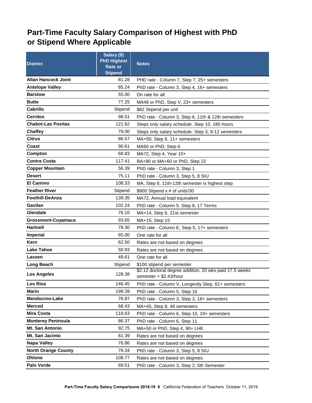## <span id="page-6-0"></span>**Part-Time Faculty Salary Comparison of Highest with PhD or Stipend Where Applicable**

| <b>District</b>            | Salary (\$)<br><b>PhD Highest</b><br><b>Rate or</b><br><b>Stipend</b> | <b>Notes</b>                                                                       |
|----------------------------|-----------------------------------------------------------------------|------------------------------------------------------------------------------------|
| <b>Allan Hancock Joint</b> | 81.28                                                                 | PHD rate - Column 7, Step 7, 25+ semesters                                         |
| <b>Antelope Valley</b>     | 85.24                                                                 | PhD rate - Column 3, Step 4, 16+ semesters                                         |
| <b>Barstow</b>             | 55.00                                                                 | On rate for all                                                                    |
| <b>Butte</b>               | 77.25                                                                 | MA48 or PhD, Step V, 23+ semesters                                                 |
| Cabrillo                   | Stipend                                                               | \$82 Stipend per unit                                                              |
| <b>Cerritos</b>            | 98.51                                                                 | PhD rate - Column 3, Step 6, 11th & 12th semesters                                 |
| <b>Chabot-Las Positas</b>  | 121.62                                                                | Steps only salary schedule. Step 10, 180 hours                                     |
| <b>Chaffey</b>             | 79.00                                                                 | Steps only salary schedule. Step 3, 9-12 semesters                                 |
| <b>Citrus</b>              | 86.57                                                                 | MA+50, Step 6, 11+ semesters                                                       |
| Coast                      | 90.61                                                                 | MA60 or PhD, Step 6                                                                |
| Compton                    | 68.83                                                                 | MA72, Step 4, Year 10+                                                             |
| <b>Contra Costa</b>        | 117.41                                                                | BA+90 or MA+60 or PhD, Step 22                                                     |
| <b>Copper Mountain</b>     | 56.39                                                                 | PhD rate - Column 3, Step 1                                                        |
| <b>Desert</b>              | 75.11                                                                 | PhD rate - Column 3, Step 5, 8 SIU                                                 |
| <b>El Camino</b>           | 108.33                                                                | MA, Step 6, 11th-12th semester is highest step                                     |
| <b>Feather River</b>       | Stipend                                                               | \$900 Stipend $x \#$ of units/30                                                   |
| Foothill-DeAnza            | 139.35                                                                | MA72, Annual load equivalent                                                       |
| Gavilan                    | 102.24                                                                | PhD rate - Column 5, Step 8, 17 Terms                                              |
| Glendale                   | 76.10                                                                 | MA+14, Step 6, 21st semester                                                       |
| Grossmont-Cuyamaca         | 93.65                                                                 | MA+15, Step 15                                                                     |
| <b>Hartnell</b>            | 78.30                                                                 | PhD rate - Column E, Step 5, 17+ semesters                                         |
| Imperial                   | 65.00                                                                 | One rate for all                                                                   |
| Kern                       | 62.50                                                                 | Rates are not based on degrees                                                     |
| <b>Lake Tahoe</b>          | 50.93                                                                 | Rates are not based on degrees                                                     |
| Lassen                     | 49.61                                                                 | One rate for all                                                                   |
| Long Beach                 | Stipend                                                               | \$100 stipend per semester                                                         |
| <b>Los Angeles</b>         | 128.38                                                                | \$2.12 doctoral degree addition, 20 wks paid 17.5 weeks<br>semester = $$2.43/hour$ |
| <b>Los Rios</b>            | 146.45                                                                | PhD rate - Column V, Longevity Step, 61+ semesters                                 |
| <b>Marin</b>               | 199.39                                                                | PhD rate - Column 5, Step 16                                                       |
| Mendocino-Lake             | 76.87                                                                 | PhD rate - Column 3, Step 3, 18+ semesters                                         |
| <b>Merced</b>              | 68.43                                                                 | MA+45, Step 8, 48 semesters                                                        |
| <b>Mira Costa</b>          | 118.63                                                                | PhD rate - Column 6, Step 10, 19+ semesters                                        |
| <b>Monterey Peninsula</b>  | 86.37                                                                 | PhD rate - Column 6, Step 11                                                       |
| Mt. San Antonio            | 92.75                                                                 | MA+50 or PhD, Step 4, 90+ LHE                                                      |
| Mt. San Jacinto            | 61.39                                                                 | Rates are not based on degrees                                                     |
| <b>Napa Valley</b>         | 76.86                                                                 | Rates are not based on degrees                                                     |
| <b>North Orange County</b> | 78.34                                                                 | PhD rate - Column 3, Step 5, 8 SIU                                                 |
| Ohlone                     | 108.77                                                                | Rates are not based on degrees                                                     |
| Palo Verde                 | 69.51                                                                 | PhD rate - Column 3, Step 2, 5th Semester                                          |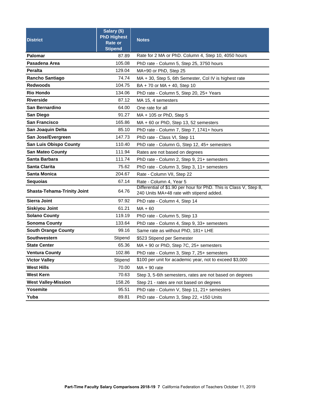| <b>District</b>                    | Salary (\$)<br><b>PhD Highest</b><br>Rate or<br><b>Stipend</b> | <b>Notes</b>                                                                                                  |  |  |  |  |  |
|------------------------------------|----------------------------------------------------------------|---------------------------------------------------------------------------------------------------------------|--|--|--|--|--|
| Palomar                            | 87.89                                                          | Rate for 2 MA or PhD. Column 4, Step 10, 4050 hours                                                           |  |  |  |  |  |
| Pasadena Area                      | 105.08                                                         | PhD rate - Column 5, Step 25, 3750 hours                                                                      |  |  |  |  |  |
| <b>Peralta</b>                     | 129.04                                                         | MA+90 or PhD, Step 25                                                                                         |  |  |  |  |  |
| <b>Rancho Santiago</b>             | 74.74                                                          | MA + 30, Step 5, 6th Semester, Col IV is highest rate                                                         |  |  |  |  |  |
| <b>Redwoods</b>                    | 104.75                                                         | BA + 70 or MA + 40, Step 10                                                                                   |  |  |  |  |  |
| <b>Rio Hondo</b>                   | 134.06                                                         | PhD rate - Column 5, Step 20, 25+ Years                                                                       |  |  |  |  |  |
| <b>Riverside</b>                   | 87.12                                                          | MA 15, 4 semesters                                                                                            |  |  |  |  |  |
| San Bernardino                     | 64.00                                                          | One rate for all                                                                                              |  |  |  |  |  |
| San Diego                          | 91.27                                                          | $MA + 105$ or PhD, Step 5                                                                                     |  |  |  |  |  |
| <b>San Francisco</b>               | 165.86                                                         | $MA + 60$ or PhD, Step 13, 52 semesters                                                                       |  |  |  |  |  |
| San Joaquin Delta                  | 85.10                                                          | PhD rate - Column 7, Step 7, 1741+ hours                                                                      |  |  |  |  |  |
| San Jose/Evergreen                 | 147.73                                                         | PhD rate - Class VI, Step 11                                                                                  |  |  |  |  |  |
| <b>San Luis Obispo County</b>      | 110.40                                                         | PhD rate - Column G, Step 12, 45+ semesters                                                                   |  |  |  |  |  |
| <b>San Mateo County</b>            | 111.94                                                         | Rates are not based on degrees                                                                                |  |  |  |  |  |
| Santa Barbara                      | 111.74                                                         | PhD rate - Column 2, Step 9, 21+ semesters                                                                    |  |  |  |  |  |
| <b>Santa Clarita</b>               | 75.62                                                          | PhD rate - Column 3, Step 3, 11+ semesters                                                                    |  |  |  |  |  |
| Santa Monica                       | 204.67                                                         | Rate - Column VII, Step 22                                                                                    |  |  |  |  |  |
| <b>Sequoias</b>                    | 67.14                                                          | Rate - Column 4, Year 5                                                                                       |  |  |  |  |  |
| <b>Shasta-Tehama-Trinity Joint</b> | 64.76                                                          | Differential of \$1.90 per hour for PhD. This is Class V, Step 8,<br>240 Units MA+48 rate with stipend added. |  |  |  |  |  |
| <b>Sierra Joint</b>                | 97.92                                                          | PhD rate - Column 4, Step 14                                                                                  |  |  |  |  |  |
| <b>Siskiyou Joint</b>              | 61.21                                                          | $MA + 60$                                                                                                     |  |  |  |  |  |
| <b>Solano County</b>               | 119.19                                                         | PhD rate - Column 5, Step 13                                                                                  |  |  |  |  |  |
| <b>Sonoma County</b>               | 133.64                                                         | PhD rate - Column 4, Step 9, 33+ semesters                                                                    |  |  |  |  |  |
| <b>South Orange County</b>         | 99.16                                                          | Same rate as without PhD, 181+ LHE                                                                            |  |  |  |  |  |
| <b>Southwestern</b>                | Stipend                                                        | \$523 Stipend per Semester                                                                                    |  |  |  |  |  |
| <b>State Center</b>                | 65.36                                                          | $MA + 90$ or PhD, Step 7C, 25+ semesters                                                                      |  |  |  |  |  |
| <b>Ventura County</b>              | 102.86                                                         | PhD rate - Column 3, Step 7, 25+ semesters                                                                    |  |  |  |  |  |
| <b>Victor Valley</b>               | Stipend                                                        | \$100 per unit for academic year, not to exceed \$3,000                                                       |  |  |  |  |  |
| <b>West Hills</b>                  | 70.00                                                          | $MA + 90$ rate                                                                                                |  |  |  |  |  |
| <b>West Kern</b>                   | 70.63                                                          | Step 3, 5-6th semesters, rates are not based on degrees                                                       |  |  |  |  |  |
| <b>West Valley-Mission</b>         | 158.26                                                         | Step 21 - rates are not based on degrees                                                                      |  |  |  |  |  |
| Yosemite                           | 95.51                                                          | PhD rate - Column V, Step 11, 21+ semesters                                                                   |  |  |  |  |  |
| Yuba                               | 89.81                                                          | PhD rate - Column 3, Step 22, +150 Units                                                                      |  |  |  |  |  |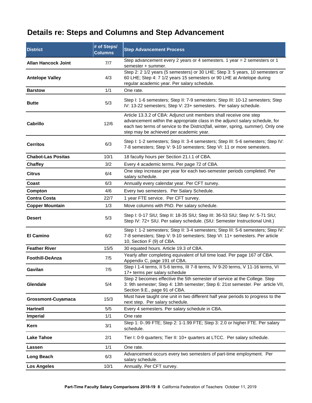## <span id="page-8-0"></span>**Details re: Steps and Columns and Step Advancement**

| <b>District</b>            | # of Steps/<br><b>Columns</b> | <b>Step Advancement Process</b>                                                                                                                                                                                                                                                    |  |  |  |  |  |  |
|----------------------------|-------------------------------|------------------------------------------------------------------------------------------------------------------------------------------------------------------------------------------------------------------------------------------------------------------------------------|--|--|--|--|--|--|
| <b>Allan Hancock Joint</b> | 7/7                           | Step advancement every 2 years or 4 semesters. 1 year = 2 semesters or 1<br>semester + summer.                                                                                                                                                                                     |  |  |  |  |  |  |
| <b>Antelope Valley</b>     | 4/3                           | Step 2: 2 1/2 years (5 semesters) or 30 LHE; Step 3: 5 years, 10 semesters or<br>60 LHE; Step 4: 7 1/2 years 15 semesters or 90 LHE at Antelope during<br>regular academic year. Per salary schedule.                                                                              |  |  |  |  |  |  |
| <b>Barstow</b>             | 1/1                           | One rate.                                                                                                                                                                                                                                                                          |  |  |  |  |  |  |
| <b>Butte</b>               | 5/3                           | Step I: 1-6 semesters; Step II: 7-9 semesters; Step III: 10-12 semesters; Step<br>IV: 13-22 semesters; Step V: 23+ semesters. Per salary schedule.                                                                                                                                 |  |  |  |  |  |  |
| Cabrillo                   | 12/6                          | Article 13.3.2 of CBA: Adjunct unit members shall receive one step<br>advancement within the appropriate class in the adjunct salary schedule, for<br>each two terms of service to the District(fall, winter, spring, summer). Only one<br>step may be achieved per academic year. |  |  |  |  |  |  |
| <b>Cerritos</b>            | 6/3                           | Step I: 1-2 semesters; Step II: 3-4 semesters; Step III: 5-6 semesters; Step IV:<br>7-8 semesters; Step V: 9-10 semesters; Step VI: 11 or more semesters.                                                                                                                          |  |  |  |  |  |  |
| <b>Chabot-Las Positas</b>  | 10/1                          | 18 faculty hours per Section 21.I.1 of CBA.                                                                                                                                                                                                                                        |  |  |  |  |  |  |
| <b>Chaffey</b>             | 3/2                           | Every 4 academic terms. Per page 72 of CBA.                                                                                                                                                                                                                                        |  |  |  |  |  |  |
| <b>Citrus</b>              | 6/4                           | One step increase per year for each two-semester periods completed. Per<br>salary schedule.                                                                                                                                                                                        |  |  |  |  |  |  |
| Coast                      | 6/3                           | Annually every calendar year. Per CFT survey.                                                                                                                                                                                                                                      |  |  |  |  |  |  |
| Compton                    | 4/6                           | Every two semesters. Per Salary Schedule.                                                                                                                                                                                                                                          |  |  |  |  |  |  |
| <b>Contra Costa</b>        | 22/7                          | 1 year FTE service. Per CFT survey.                                                                                                                                                                                                                                                |  |  |  |  |  |  |
| <b>Copper Mountain</b>     | 1/3                           | Move columns with PhD. Per salary schedule.                                                                                                                                                                                                                                        |  |  |  |  |  |  |
| <b>Desert</b>              | 5/3                           | Step I: 0-17 SIU; Step II: 18-35 SIU; Step III: 36-53 SIU; Step IV: 5-71 SIU;<br>Step IV: 72+ SIU. Per salary schedule. (SIU: Semester Instructional Unit.)                                                                                                                        |  |  |  |  |  |  |
| <b>El Camino</b>           | 6/2                           | Step I: 1-2 semesters; Step II: 3-4 semesters; Step III: 5-6 semesters; Step IV:<br>7-8 semesters; Step V: 9-10 semesters; Step VI: 11+ semesters. Per article<br>10, Section F (9) of CBA.                                                                                        |  |  |  |  |  |  |
| <b>Feather River</b>       | 15/5                          | 30 equated hours. Article 19.3 of CBA.                                                                                                                                                                                                                                             |  |  |  |  |  |  |
| <b>Foothill-DeAnza</b>     | 7/5                           | Yearly after completing equivalent of full time load. Per page 167 of CBA.<br>Appendix C, page 191 of CBA.                                                                                                                                                                         |  |  |  |  |  |  |
| Gavilan                    | 7/5                           | Step I 1-4 terms, II 5-6 terms, III 7-8 terms, IV 9-20 terms, V 11-16 terms, VI<br>17+ terms per salary schedule                                                                                                                                                                   |  |  |  |  |  |  |
| Glendale                   | 5/4                           | Step 2 becomes effective the 5th semester of service at the College. Step<br>3: 9th semester; Step 4: 13th semester; Step 6: 21st semester. Per article VII,<br>Section 9.E., page 91 of CBA.                                                                                      |  |  |  |  |  |  |
| <b>Grossmont-Cuyamaca</b>  | 15/3                          | Must have taught one unit in two different half year periods to progress to the<br>next step. Per salary schedule.                                                                                                                                                                 |  |  |  |  |  |  |
| <b>Hartnell</b>            | 5/5                           | Every 4 semesters. Per salary schedule in CBA.                                                                                                                                                                                                                                     |  |  |  |  |  |  |
| <b>Imperial</b>            | 1/1                           | One rate                                                                                                                                                                                                                                                                           |  |  |  |  |  |  |
| Kern                       | 3/1                           | Step 1: 0-.99 FTE; Step 2: 1-1.99 FTE; Step 3: 2.0 or higher FTE. Per salary<br>schedule.                                                                                                                                                                                          |  |  |  |  |  |  |
| <b>Lake Tahoe</b>          | 2/1                           | Tier I: 0-9 quarters; Tier II: 10+ quarters at LTCC. Per salary schedule.                                                                                                                                                                                                          |  |  |  |  |  |  |
| Lassen                     | 1/1                           | One rate.                                                                                                                                                                                                                                                                          |  |  |  |  |  |  |
| Long Beach                 | 6/3                           | Advancement occurs every two semesters of part-time employment. Per<br>salary schedule.                                                                                                                                                                                            |  |  |  |  |  |  |
| <b>Los Angeles</b>         | 10/1                          | Annually. Per CFT survey.                                                                                                                                                                                                                                                          |  |  |  |  |  |  |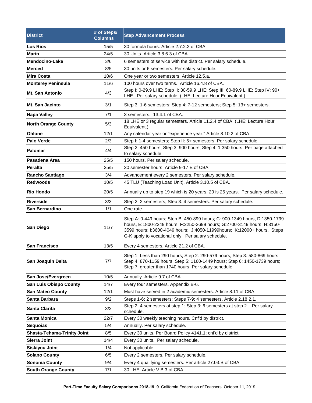| <b>District</b>                    | # of Steps/<br><b>Columns</b> | <b>Step Advancement Process</b>                                                                                                                                                                                                                                                         |  |  |  |  |  |
|------------------------------------|-------------------------------|-----------------------------------------------------------------------------------------------------------------------------------------------------------------------------------------------------------------------------------------------------------------------------------------|--|--|--|--|--|
| <b>Los Rios</b>                    | 15/5                          | 30 formula hours. Article 2.7.2.2 of CBA.                                                                                                                                                                                                                                               |  |  |  |  |  |
| <b>Marin</b>                       | 24/5                          | 30 Units. Article 3.8.6.3 of CBA.                                                                                                                                                                                                                                                       |  |  |  |  |  |
| Mendocino-Lake                     | 3/6                           | 6 semesters of service with the district. Per salary schedule.                                                                                                                                                                                                                          |  |  |  |  |  |
| <b>Merced</b>                      | 8/5                           | 30 units or 6 semesters. Per salary schedule.                                                                                                                                                                                                                                           |  |  |  |  |  |
| <b>Mira Costa</b>                  | 10/6                          | One year or two semesters. Article 12.5.a.                                                                                                                                                                                                                                              |  |  |  |  |  |
| <b>Monterey Peninsula</b>          | 11/6                          | 100 hours over two terms. Article 16.4.8 of CBA.                                                                                                                                                                                                                                        |  |  |  |  |  |
| Mt. San Antonio                    | 4/3                           | Step I: 0-29.9 LHE; Step II: 30-59.9 LHE; Step III: 60-89.9 LHE; Step IV: 90+<br>LHE. Per salary schedule. (LHE: Lecture Hour Equivalent.)                                                                                                                                              |  |  |  |  |  |
| Mt. San Jacinto                    | 3/1                           | Step 3: 1-6 semesters; Step 4: 7-12 semesters; Step 5: 13+ semesters.                                                                                                                                                                                                                   |  |  |  |  |  |
| <b>Napa Valley</b>                 | 7/1                           | 3 semesters. 13.4.1 of CBA.                                                                                                                                                                                                                                                             |  |  |  |  |  |
| <b>North Orange County</b>         | 5/3                           | 18 LHE or 3 regular semesters. Article 11.2.4 of CBA. (LHE: Lecture Hour<br>Equivalent.)                                                                                                                                                                                                |  |  |  |  |  |
| <b>Ohlone</b>                      | 12/1                          | Any calendar year or "experience year." Article 8.10.2 of CBA.                                                                                                                                                                                                                          |  |  |  |  |  |
| <b>Palo Verde</b>                  | 2/3                           | Step I: 1-4 semesters; Step II: 5+ semesters. Per salary schedule.                                                                                                                                                                                                                      |  |  |  |  |  |
| Palomar                            | 4/4                           | Step 2: 450 hours; Step 3: 900 hours; Step 4: 1,350 hours. Per page attached<br>to salary schedule.                                                                                                                                                                                     |  |  |  |  |  |
| Pasadena Area                      | 25/5                          | 150 hours. Per salary schedule.                                                                                                                                                                                                                                                         |  |  |  |  |  |
| <b>Peralta</b>                     | 25/5                          | 30 semester hours. Article 9-17 E of CBA.                                                                                                                                                                                                                                               |  |  |  |  |  |
| <b>Rancho Santiago</b>             | 3/4                           | Advancement every 2 semesters. Per salary schedule.                                                                                                                                                                                                                                     |  |  |  |  |  |
| <b>Redwoods</b>                    | 10/5                          | 45 TLU (Teaching Load Unit). Article 3.10.5 of CBA.                                                                                                                                                                                                                                     |  |  |  |  |  |
| <b>Rio Hondo</b>                   | 20/5                          | Annually up to step 19 which is 20 years. 20 is 25 years. Per salary schedule.                                                                                                                                                                                                          |  |  |  |  |  |
| <b>Riverside</b>                   | 3/3                           | Step 2: 2 semesters, Step 3: 4 semesters. Per salary schedule.                                                                                                                                                                                                                          |  |  |  |  |  |
| San Bernardino                     | 1/1                           | One rate.                                                                                                                                                                                                                                                                               |  |  |  |  |  |
| <b>San Diego</b>                   | 11/7                          | Step A: 0-449 hours; Step B: 450-899 hours; C: 900-1349 hours, D:1350-1799<br>hours, E:1800-2249 hours; F:2250-2699 hours; G:2700-3149 hours; H:3150-<br>3599 hours; I:3600-4049 hours; J:4050-11999 hours; K:12000+ hours. Steps<br>G-K apply to vocational only. Per salary schedule. |  |  |  |  |  |
| <b>San Francisco</b>               | 13/5                          | Every 4 semesters. Article 21.2 of CBA.                                                                                                                                                                                                                                                 |  |  |  |  |  |
| San Joaquin Delta                  | 7/7                           | Step 1: Less than 290 hours; Step 2: 290-579 hours; Step 3: 580-869 hours;<br>Step 4: 870-1159 hours; Step 5: 1160-1449 hours; Step 6: 1450-1739 hours;<br>Step 7: greater than 1740 hours. Per salary schedule.                                                                        |  |  |  |  |  |
| San Jose/Evergreen                 | 10/5                          | Annually. Article 9.7 of CBA.                                                                                                                                                                                                                                                           |  |  |  |  |  |
| <b>San Luis Obispo County</b>      | 14/7                          | Every four semesters. Appendix B-6.                                                                                                                                                                                                                                                     |  |  |  |  |  |
| <b>San Mateo County</b>            | 12/1                          | Must have served in 2 academic semesters. Article 8.11 of CBA.                                                                                                                                                                                                                          |  |  |  |  |  |
| Santa Barbara                      | 9/2                           | Steps 1-6: 2 semesters; Steps 7-9: 4 semesters. Article 2.18.2.1.                                                                                                                                                                                                                       |  |  |  |  |  |
| <b>Santa Clarita</b>               | 3/2                           | Step 2: 4 semesters at step 1; Step 3: 6 semesters at step 2. Per salary<br>schedule.                                                                                                                                                                                                   |  |  |  |  |  |
| Santa Monica                       | 22/7                          | Every 30 weekly teaching hours. Cnf'd by district.                                                                                                                                                                                                                                      |  |  |  |  |  |
| <b>Sequoias</b>                    | 5/4                           | Annually. Per salary schedule.                                                                                                                                                                                                                                                          |  |  |  |  |  |
| <b>Shasta-Tehama-Trinity Joint</b> | 8/5                           | Every 30 units. Per Board Policy 4141.1; cnf'd by district.                                                                                                                                                                                                                             |  |  |  |  |  |
| <b>Sierra Joint</b>                | 14/4                          | Every 30 units. Per salary schedule.                                                                                                                                                                                                                                                    |  |  |  |  |  |
| <b>Siskiyou Joint</b>              | 1/4                           | Not applicable.                                                                                                                                                                                                                                                                         |  |  |  |  |  |
| <b>Solano County</b>               | 6/5                           | Every 2 semesters. Per salary schedule.                                                                                                                                                                                                                                                 |  |  |  |  |  |
| <b>Sonoma County</b>               | 9/4                           | Every 4 qualifying semesters. Per article 27.03.B of CBA.                                                                                                                                                                                                                               |  |  |  |  |  |
| <b>South Orange County</b>         | 7/1                           | 30 LHE. Article V.B.3 of CBA.                                                                                                                                                                                                                                                           |  |  |  |  |  |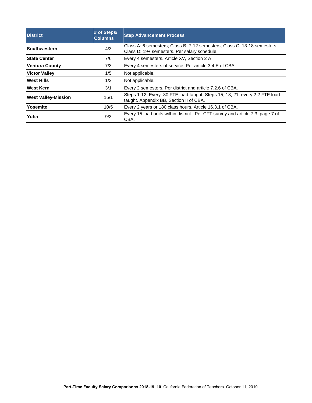| <b>District</b>                    | # of Steps/<br><b>Columns</b>                                  | <b>Step Advancement Process</b>                                                                                          |  |  |  |
|------------------------------------|----------------------------------------------------------------|--------------------------------------------------------------------------------------------------------------------------|--|--|--|
| <b>Southwestern</b>                | 4/3                                                            | Class A: 6 semesters; Class B: 7-12 semesters; Class C: 13-18 semesters;<br>Class D: 19+ semesters. Per salary schedule. |  |  |  |
| <b>State Center</b>                | 7/6                                                            | Every 4 semesters. Article XV, Section 2 A                                                                               |  |  |  |
| <b>Ventura County</b>              | Every 4 semesters of service. Per article 3.4.E of CBA.<br>7/3 |                                                                                                                          |  |  |  |
| <b>Victor Valley</b>               | 1/5                                                            | Not applicable.                                                                                                          |  |  |  |
| <b>West Hills</b><br>1/3           |                                                                | Not applicable.                                                                                                          |  |  |  |
| <b>West Kern</b>                   | 3/1                                                            | Every 2 semesters. Per district and article 7.2.6 of CBA.                                                                |  |  |  |
| 15/1<br><b>West Valley-Mission</b> |                                                                | Steps 1-12: Every .80 FTE load taught; Steps 15, 18, 21: every 2.2 FTE load<br>taught. Appendix BB, Section II of CBA.   |  |  |  |
| Yosemite                           | 10/5                                                           | Every 2 years or 180 class hours. Article 16.3.1 of CBA.                                                                 |  |  |  |
| Yuba                               | 9/3                                                            | Every 15 load units within district. Per CFT survey and article 7.3, page 7 of<br>CBA.                                   |  |  |  |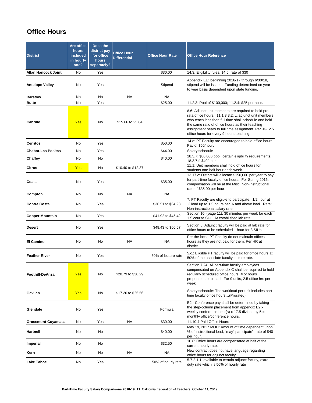# <span id="page-11-0"></span>**Office Hours**

| <b>District</b>            | Are office<br><b>hours</b><br>included<br>in hourly<br>rate? | Does the<br>district pay<br>for office<br><b>hours</b><br>separately? | <b>Office Hour</b><br><b>Differential</b> | <b>Office Hour Rate</b> | <b>Office Hour Reference</b>                                                                                                                                                                                                                                                                                                |
|----------------------------|--------------------------------------------------------------|-----------------------------------------------------------------------|-------------------------------------------|-------------------------|-----------------------------------------------------------------------------------------------------------------------------------------------------------------------------------------------------------------------------------------------------------------------------------------------------------------------------|
| <b>Allan Hancock Joint</b> | <b>No</b>                                                    | Yes                                                                   |                                           | \$30.00                 | 14.3: Eligibility rules, 14.5: rate of \$30                                                                                                                                                                                                                                                                                 |
| <b>Antelope Valley</b>     | No                                                           | Yes                                                                   |                                           | Stipend                 | Appendix EE: beginning 2016-17 through 6/30/18,<br>stipend will be issued. Funding determined on year<br>to year basis dependent upon state funding.                                                                                                                                                                        |
| <b>Barstow</b>             | No                                                           | <b>No</b>                                                             | <b>NA</b>                                 | <b>NA</b>               |                                                                                                                                                                                                                                                                                                                             |
| <b>Butte</b>               | <b>No</b>                                                    | Yes                                                                   |                                           | \$25.00                 | 11.2.3: Pool of \$100,000; 11.2.4: \$25 per hour.                                                                                                                                                                                                                                                                           |
| Cabrillo                   | <b>Yes</b>                                                   | <b>No</b>                                                             | \$15.66 to 25.84                          |                         | 8.6: Adjunct unit members are required to hold pro<br>rata office hours. 11.1.3.3.2: adjunct unit members<br>who teach less than full time shall schedule and hold<br>the same ratio of office hours as their teaching<br>assignment bears to full time assignment. Per JG, 2.5<br>office hours for every 9 hours teaching. |
| <b>Cerritos</b>            | No                                                           | Yes                                                                   |                                           | \$50.00                 | 14.d: PT Faculty are encouraged to hold office hours.<br>Pay of \$50/hour.                                                                                                                                                                                                                                                  |
| <b>Chabot-Las Positas</b>  | <b>No</b>                                                    | Yes                                                                   |                                           | \$44.00                 | Salary schedule                                                                                                                                                                                                                                                                                                             |
| <b>Chaffey</b>             | <b>No</b>                                                    | No                                                                    |                                           | \$40.00                 | 18.3.7: \$80,000 pool, certain eligibility requirements.<br>18.3.7.f: \$40/hour                                                                                                                                                                                                                                             |
| <b>Citrus</b>              | <b>Yes</b>                                                   | No                                                                    | \$10.40 to \$12.37                        |                         | 11.1: Unit members shall hold office hours for<br>students one-half hour each week.                                                                                                                                                                                                                                         |
| Coast                      | No                                                           | Yes                                                                   |                                           | \$35.00                 | 13.17.c: District will allocate \$150,000 per year to pay<br>for part-time faculty office hours. For Spring 2016,<br>compensation will be at the Misc. Non-Instructional<br>rate of \$35.00 per hour.                                                                                                                       |
| Compton                    | <b>No</b>                                                    | <b>No</b>                                                             | <b>NA</b>                                 | <b>NA</b>               |                                                                                                                                                                                                                                                                                                                             |
| <b>Contra Costa</b>        | No                                                           | Yes                                                                   |                                           | \$36.51 to \$64.93      | 7: PT Faculty are eligible to participate. 1/2 hour at<br>.2 load up to 1.5 hours per .6 and above load. Rate:<br>Non-instructional salary rate.                                                                                                                                                                            |
| <b>Copper Mountain</b>     | No                                                           | Yes                                                                   |                                           | \$41.92 to \$45.42      | Section 10: (page 11), 30 minutes per week for each<br>1.5 course SIU. At established lab rate.                                                                                                                                                                                                                             |
| <b>Desert</b>              | No                                                           | Yes                                                                   |                                           | \$49.43 to \$60.67      | Section 5: Adjunct faculty will be paid at lab rate for<br>office hours to be scheduled 1 hour for 3 SIUs.                                                                                                                                                                                                                  |
| <b>El Camino</b>           | No                                                           | No                                                                    | <b>NA</b>                                 | <b>NA</b>               | Per the local, PT Faculty do not maintain offices<br>hours as they are not paid for them. Per HR at<br>district.                                                                                                                                                                                                            |
| <b>Feather River</b>       | No                                                           | Yes                                                                   |                                           | 50% of lecture rate     | 5.c.: Eligible PT faculty will be paid for office hours at<br>50% of the associate faculty lecture rate.                                                                                                                                                                                                                    |
| <b>Foothill-DeAnza</b>     | <b>Yes</b>                                                   | No                                                                    | \$20.79 to \$30.29                        |                         | Section 7.24: All part-time faculty employees<br>compensated on Appendix C shall be required to hold<br>regularly scheduled office hours. # of hours<br>proportionate to load. For 9 units, 2.5 office hrs per<br>week.                                                                                                     |
| Gavilan                    | <b>Yes</b>                                                   | No                                                                    | \$17.26 to \$25.56                        |                         | Salary schedule: The workload per unit includes part-<br>time faculty office hours(Prorated)                                                                                                                                                                                                                                |
| Glendale                   | No                                                           | Yes                                                                   |                                           | Formula                 | B2 - Conference pay shall be determined by taking<br>the step-column placement from appendix B2 x<br>weekly conference hour(s) x 17.5 divided by $5 =$<br>monthly office/conference hours.                                                                                                                                  |
| <b>Grossmont-Cuyamaca</b>  | No                                                           | Yes                                                                   | <b>NA</b>                                 | \$30.00                 | 11.10.4 Paid Office Hours                                                                                                                                                                                                                                                                                                   |
| <b>Hartnell</b>            | No                                                           | No                                                                    |                                           | \$40.00                 | May 19, 2017 MOU: Amount of time dependent upon<br>% of instructional load, "may" participate", rate of \$40<br>per hour.                                                                                                                                                                                                   |
| <b>Imperial</b>            | No                                                           | No                                                                    |                                           | \$32.50                 | 10.8: Office hours are compensated at half of the<br>current hourly rate.                                                                                                                                                                                                                                                   |
| Kern                       | No                                                           | No                                                                    | <b>NA</b>                                 | <b>NA</b>               | New contract does not have language regarding<br>office hours for adjunct faculty.                                                                                                                                                                                                                                          |
| <b>Lake Tahoe</b>          | No                                                           | Yes                                                                   |                                           | 50% of hourly rate      | 5.7.2.1.1: available to certain adjunct faculty, extra<br>duty rate which is 50% of hourly rate                                                                                                                                                                                                                             |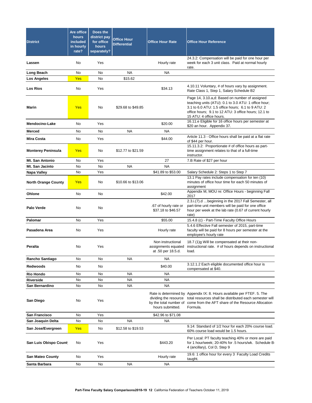| <b>District</b>            | Are office<br><b>hours</b><br><b>included</b><br>in hourly<br>rate? | Does the<br>district pay<br>for office<br>hours<br>separately? | <b>Office Hour</b><br><b>Differential</b> | <b>Office Hour Rate</b>                                        | <b>Office Hour Reference</b>                                                                                                                                                                                                                   |
|----------------------------|---------------------------------------------------------------------|----------------------------------------------------------------|-------------------------------------------|----------------------------------------------------------------|------------------------------------------------------------------------------------------------------------------------------------------------------------------------------------------------------------------------------------------------|
| Lassen                     | No                                                                  | Yes                                                            |                                           | Hourly rate                                                    | 24.3.2: Compensation will be paid for one hour per<br>week for each 3 unit class. Paid at normal hourly<br>rate.                                                                                                                               |
| Long Beach                 | No                                                                  | No                                                             | <b>NA</b>                                 | <b>NA</b>                                                      |                                                                                                                                                                                                                                                |
| <b>Los Angeles</b>         | <b>Yes</b>                                                          | No                                                             | \$15.62                                   |                                                                |                                                                                                                                                                                                                                                |
| <b>Los Rios</b>            | No                                                                  | Yes                                                            |                                           | \$34.13                                                        | 4.10.11 Voluntary, # of hours vary by assignment.<br>Rate Class 1, Step 1, Salary Schedule B2                                                                                                                                                  |
| Marin                      | <b>Yes</b>                                                          | No                                                             | \$29.68 to \$49.85                        |                                                                | Page 14, 3.10.a,d: Based on number of assigned<br>teaching units (ATU): 0.1 to 3.0 ATU: 1 office hour;<br>3.1 to 6.0 ATU: 1.5 office hours; 6.1 to 9 ATU: 2<br>office hours; 9.1 to 12 ATU: 3 office hours; 12.1 to<br>15 ATU: 4 office hours. |
| <b>Mendocino-Lake</b>      | No                                                                  | Yes                                                            |                                           | \$20.00                                                        | 16.11.e Eligible for 16 office hours per semester at<br>\$20 an hour. Appendix 37.                                                                                                                                                             |
| <b>Merced</b>              | No                                                                  | <b>No</b>                                                      | <b>NA</b>                                 | <b>NA</b>                                                      |                                                                                                                                                                                                                                                |
| <b>Mira Costa</b>          | No                                                                  | Yes                                                            |                                           | \$44.00                                                        | Article 11.3 - Office hours shall be paid at a flat rate<br>of \$44 per hour.                                                                                                                                                                  |
| <b>Monterey Peninsula</b>  | <b>Yes</b>                                                          | No                                                             | \$12.77 to \$21.59                        |                                                                | 15.11.3.2: Proportionate # of office hours as part-<br>time assignment relates to that of a full-time<br>instructor.                                                                                                                           |
| Mt. San Antonio            | No                                                                  | Yes                                                            |                                           | 27                                                             | 7.B Rate of \$27 per hour                                                                                                                                                                                                                      |
| Mt. San Jacinto            | No                                                                  | No                                                             | <b>NA</b>                                 | <b>NA</b>                                                      |                                                                                                                                                                                                                                                |
| <b>Napa Valley</b>         | No                                                                  | Yes                                                            |                                           | \$41.89 to \$53.00                                             | Salary Schedule 2: Steps 1 to Step 7                                                                                                                                                                                                           |
| <b>North Orange County</b> | <b>Yes</b>                                                          | No                                                             | \$10.66 to \$13.06                        |                                                                | 13.1 Pay rates include compensation for ten (10)<br>minutes of office hour time for each 50 minutes of<br>assignment                                                                                                                           |
| Ohlone                     | No                                                                  | No                                                             |                                           | \$42.00                                                        | Appendix M, MOU re: Office Hours - beginning Fall<br>2017                                                                                                                                                                                      |
| <b>Palo Verde</b>          | No                                                                  | No                                                             |                                           | .67 of hourly rate or<br>\$37.18 to \$46.57                    | 2.3.i.(7).d beginning in the 2017 Fall Semester, all<br>part-time unit members will be paid for one office<br>hour per week at the lab rate (0.67 of current hourly<br>rate)                                                                   |
| <b>Palomar</b>             | <b>No</b>                                                           | Yes                                                            |                                           | \$55.00                                                        | 15.4.8 (c) - Part-Time Faculty Office Hours                                                                                                                                                                                                    |
| Pasadena Area              | No                                                                  | Yes                                                            |                                           | Hourly rate                                                    | 5.4.6 Effective Fall semester of 2015, part-time<br>faculty will be paid for 8 hours per semester at the<br>employee's hourly rate                                                                                                             |
| <b>Peralta</b>             | No                                                                  | Yes                                                            |                                           | Non instructional<br>assignments equated<br>at .50 per 18.5.d. | 18.7 (1)g Will be compensated at their non-<br>instructional rate. # of hours depends on instructional<br>load.                                                                                                                                |
| Rancho Santiago            | No.                                                                 | No                                                             | <b>NA</b>                                 | <b>NA</b>                                                      |                                                                                                                                                                                                                                                |
| <b>Redwoods</b>            | No                                                                  | No                                                             |                                           | \$40.00                                                        | 3.12.1.2 Each eligible documented office hour is<br>compensated at \$40.                                                                                                                                                                       |
| <b>Rio Hondo</b>           | <b>No</b>                                                           | No                                                             | <b>NA</b>                                 | <b>NA</b>                                                      |                                                                                                                                                                                                                                                |
| <b>Riverside</b>           | No                                                                  | No                                                             | <b>NA</b>                                 | <b>NA</b>                                                      |                                                                                                                                                                                                                                                |
| San Bernardino             | No                                                                  | No                                                             | <b>NA</b>                                 | <b>NA</b>                                                      |                                                                                                                                                                                                                                                |
| San Diego                  | No.                                                                 | Yes                                                            |                                           | dividing the resource<br>hours submitted.                      | Rate is determined by Appendix IX: 8. Hours available per FTEF. 5. The<br>total resources shall be distributed each semester will<br>by the total number of come from the AFT share of the Resource Allocation<br>Formula.                     |
| <b>San Francisco</b>       | <b>No</b>                                                           | Yes                                                            |                                           | \$42.96 to \$71.08                                             |                                                                                                                                                                                                                                                |
| San Joaquin Delta          | No                                                                  | No                                                             | <b>NA</b>                                 | ΝA                                                             |                                                                                                                                                                                                                                                |
| San Jose/Evergreen         | <b>Yes</b>                                                          | No                                                             | \$12.58 to \$19.53                        |                                                                | 9.14: Standard of 1/2 hour for each 20% course load.<br>60% course load would be 1.5 hours.                                                                                                                                                    |
| San Luis Obispo Count      | No                                                                  | Yes                                                            |                                           | \$443.20                                                       | Per Local: PT faculty teaching 40% or more are paid<br>for 1 hour/week; 20-40% for .5 hours/wk. Schedule B-<br>4 (ancillary), Col D, Step 9                                                                                                    |
| <b>San Mateo County</b>    | No                                                                  | Yes                                                            |                                           | Hourly rate                                                    | 19.6: 1 office hour for every 3 Faculty Load Credits                                                                                                                                                                                           |
| Santa Barbara              | No                                                                  | No                                                             | <b>NA</b>                                 | <b>NA</b>                                                      | taught.                                                                                                                                                                                                                                        |
|                            |                                                                     |                                                                |                                           |                                                                |                                                                                                                                                                                                                                                |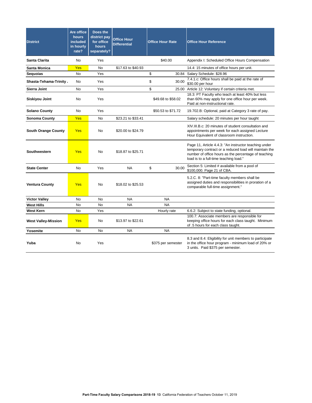| <b>District</b>            | Are office<br><b>hours</b><br>included<br>in hourly<br>rate? | Does the<br>district pay<br>for office<br>hours<br>separately? | <b>Office Hour</b><br><b>Differential</b> | <b>Office Hour Rate</b> | <b>Office Hour Reference</b>                                                                                                                                                                                      |
|----------------------------|--------------------------------------------------------------|----------------------------------------------------------------|-------------------------------------------|-------------------------|-------------------------------------------------------------------------------------------------------------------------------------------------------------------------------------------------------------------|
| Santa Clarita              | No.                                                          | Yes                                                            |                                           | \$40.00                 | Appendix I: Scheduled Office Hours Compensation                                                                                                                                                                   |
| <b>Santa Monica</b>        | Yes                                                          | <b>No</b>                                                      | \$17.63 to \$40.93                        |                         | 14.4: 15 minutes of office hours per unit.                                                                                                                                                                        |
| <b>Sequoias</b>            | No                                                           | Yes                                                            |                                           | \$                      | 30.84 Salary Schedule: \$28.96                                                                                                                                                                                    |
| Shasta-Tehama-Trinity,     | No                                                           | Yes                                                            |                                           | \$<br>30.00             | 7.4.1.c: Office hours shall be paid at the rate of<br>\$30.00 per hour                                                                                                                                            |
| <b>Sierra Joint</b>        | <b>No</b>                                                    | Yes                                                            |                                           | \$                      | 25.00 Article 12: Voluntary if certain criteria met.                                                                                                                                                              |
| <b>Siskiyou Joint</b>      | No                                                           | Yes                                                            |                                           | \$49.68 to \$58.02      | 18.3: PT Faculty who teach at least 40% but less<br>than 60% may apply for one office hour per week.<br>Paid at non-instructional rate.                                                                           |
| <b>Solano County</b>       | No                                                           | Yes                                                            |                                           | \$50.53 to \$71.72      | 19.702.B: Optional, paid at Category 3 rate of pay.                                                                                                                                                               |
| <b>Sonoma County</b>       | Yes                                                          | No.                                                            | \$23.21 to \$33.41                        |                         | Salary schedule: 20 minutes per hour taught                                                                                                                                                                       |
| <b>South Orange County</b> | <b>Yes</b>                                                   | No                                                             | \$20.00 to \$24.79                        |                         | XIV.III.B.c: 20 minutes of student consultation and<br>appointments per week for each assigned Lecture<br>Hour Equivalent of classroom instruction.                                                               |
| <b>Southwestern</b>        | Yes                                                          | No                                                             | \$18.87 to \$25.71                        |                         | Page 11, Article 4.4.3: "An instructor teaching under<br>temporary contract or a reduced load will maintain the<br>number of office hours as the percentage of teaching<br>load is to a full-time teaching load." |
| <b>State Center</b>        | <b>No</b>                                                    | Yes                                                            | <b>NA</b>                                 | \$<br>30.00             | Section 5: Limited # available from a pool of<br>\$100,000. Page 21 of CBA.                                                                                                                                       |
| <b>Ventura County</b>      | Yes                                                          | <b>No</b>                                                      | \$18.02 to \$25.53                        |                         | 5.2.C. 8: "Part-time faculty members shall be<br>assigned duties and responsibilities in proration of a<br>comparable full-time assignment."                                                                      |
| <b>Victor Valley</b>       | <b>No</b>                                                    | <b>No</b>                                                      | <b>NA</b>                                 | <b>NA</b>               |                                                                                                                                                                                                                   |
| <b>West Hills</b>          | <b>No</b>                                                    | <b>No</b>                                                      | <b>NA</b>                                 | <b>NA</b>               |                                                                                                                                                                                                                   |
| <b>West Kern</b>           | No                                                           | Yes                                                            |                                           | Hourly rate             | 6.6.2: Subject to state funding, optional.                                                                                                                                                                        |
| <b>West Valley-Mission</b> | <b>Yes</b>                                                   | No                                                             | \$13.97 to \$22.61                        |                         | 100.7: Associate members are responsible for<br>keeping office hours for each class taught. Minimum<br>of .5 hours for each class taught.                                                                         |
| Yosemite                   | No                                                           | No                                                             | <b>NA</b>                                 | <b>NA</b>               |                                                                                                                                                                                                                   |
| Yuba                       | No                                                           | Yes                                                            |                                           | \$375 per semester      | 8.3 and 8.4: Eligibility for unit members to participate<br>in the office hour program - minimum load of 20% or<br>3 units. Paid \$375 per semester.                                                              |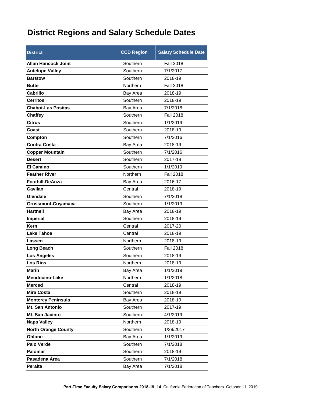# <span id="page-14-0"></span>**District Regions and Salary Schedule Dates**

| <b>District</b>            | <b>CCD Region</b> | <b>Salary Schedule Date</b> |
|----------------------------|-------------------|-----------------------------|
| <b>Allan Hancock Joint</b> | Southern          | <b>Fall 2018</b>            |
| <b>Antelope Valley</b>     | Southern          | 7/1/2017                    |
| <b>Barstow</b>             | Southern          | 2018-19                     |
| <b>Butte</b>               | Northern          | <b>Fall 2018</b>            |
| <b>Cabrillo</b>            | Bay Area          | 2018-19                     |
| <b>Cerritos</b>            | Southern          | 2018-19                     |
| <b>Chabot-Las Positas</b>  | Bay Area          | 7/1/2018                    |
| <b>Chaffey</b>             | Southern          | <b>Fall 2018</b>            |
| <b>Citrus</b>              | Southern          | 1/1/2019                    |
| Coast                      | Southern          | 2018-19                     |
| Compton                    | Southern          | 7/1/2016                    |
| <b>Contra Costa</b>        | Bay Area          | 2018-19                     |
| <b>Copper Mountain</b>     | Southern          | 7/1/2016                    |
| <b>Desert</b>              | Southern          | 2017-18                     |
| <b>El Camino</b>           | Southern          | 1/1/2019                    |
| <b>Feather River</b>       | Northern          | <b>Fall 2018</b>            |
| <b>Foothill-DeAnza</b>     | Bay Area          | 2016-17                     |
| Gavilan                    | Central           | 2018-19                     |
| Glendale                   | Southern          | 7/1/2018                    |
| <b>Grossmont-Cuyamaca</b>  | Southern          | 1/1/2019                    |
| <b>Hartnell</b>            | Bay Area          | 2018-19                     |
| Imperial                   | Southern          | 2018-19                     |
| Kern                       | Central           | 2017-20                     |
| <b>Lake Tahoe</b>          | Central           | 2018-19                     |
| Lassen                     | Northern          | 2018-19                     |
| Long Beach                 | Southern          | <b>Fall 2018</b>            |
| <b>Los Angeles</b>         | Southern          | 2018-19                     |
| <b>Los Rios</b>            | Northern          | 2018-19                     |
| Marin                      | Bay Area          | 1/1/2019                    |
| Mendocino-Lake             | Northern          | 1/1/2018                    |
| <b>Merced</b>              | Central           | 2018-19                     |
| <b>Mira Costa</b>          | Southern          | 2018-19                     |
| <b>Monterey Peninsula</b>  | Bay Area          | 2018-19                     |
| Mt. San Antonio            | Southern          | 2017-19                     |
| Mt. San Jacinto            | Southern          | 4/1/2019                    |
| Napa Valley                | Northern          | 2018-19                     |
| <b>North Orange County</b> | Southern          | 1/29/2017                   |
| Ohlone                     | Bay Area          | 1/1/2019                    |
| Palo Verde                 | Southern          | 7/1/2018                    |
| <b>Palomar</b>             | Southern          | 2018-19                     |
| Pasadena Area              | Southern          | 7/1/2018                    |
| Peralta                    | Bay Area          | 7/1/2018                    |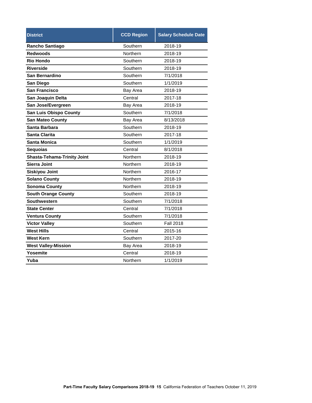| <b>District</b>                    | <b>CCD Region</b> | <b>Salary Schedule Date</b> |  |  |  |
|------------------------------------|-------------------|-----------------------------|--|--|--|
| <b>Rancho Santiago</b>             | Southern          | 2018-19                     |  |  |  |
| <b>Redwoods</b>                    | Northern          | 2018-19                     |  |  |  |
| <b>Rio Hondo</b>                   | Southern          | 2018-19                     |  |  |  |
| <b>Riverside</b>                   | Southern          | 2018-19                     |  |  |  |
| San Bernardino                     | Southern          | 7/1/2018                    |  |  |  |
| San Diego                          | Southern          | 1/1/2019                    |  |  |  |
| <b>San Francisco</b>               | Bay Area          | 2018-19                     |  |  |  |
| San Joaquin Delta                  | Central           | 2017-18                     |  |  |  |
| San Jose/Evergreen                 | Bay Area          | 2018-19                     |  |  |  |
| <b>San Luis Obispo County</b>      | Southern          | 7/1/2018                    |  |  |  |
| <b>San Mateo County</b>            | Bay Area          | 8/13/2018                   |  |  |  |
| Santa Barbara                      | Southern          | 2018-19                     |  |  |  |
| <b>Santa Clarita</b>               | Southern          | 2017-18                     |  |  |  |
| Santa Monica                       | Southern          | 1/1/2019                    |  |  |  |
| <b>Sequoias</b>                    | Central           | 8/1/2018                    |  |  |  |
| <b>Shasta-Tehama-Trinity Joint</b> | Northern          | 2018-19                     |  |  |  |
| <b>Sierra Joint</b>                | Northern          | 2018-19                     |  |  |  |
| <b>Siskiyou Joint</b>              | Northern          | 2016-17                     |  |  |  |
| <b>Solano County</b>               | Northern          | 2018-19                     |  |  |  |
| <b>Sonoma County</b>               | Northern          | 2018-19                     |  |  |  |
| <b>South Orange County</b>         | Southern          | 2018-19                     |  |  |  |
| Southwestern                       | Southern          | 7/1/2018                    |  |  |  |
| <b>State Center</b>                | Central           | 7/1/2018                    |  |  |  |
| <b>Ventura County</b>              | Southern          | 7/1/2018                    |  |  |  |
| <b>Victor Valley</b>               | Southern          | <b>Fall 2018</b>            |  |  |  |
| <b>West Hills</b>                  | Central           | 2015-16                     |  |  |  |
| <b>West Kern</b>                   | Southern          | 2017-20                     |  |  |  |
| <b>West Valley-Mission</b>         | Bay Area          | 2018-19                     |  |  |  |
| Yosemite                           | Central           | 2018-19                     |  |  |  |
| Yuba                               | Northern          | 1/1/2019                    |  |  |  |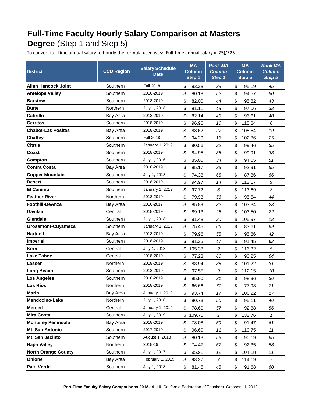# <span id="page-16-0"></span>**Full-Time Faculty Hourly Salary Comparison at Masters Degree** (Step 1 and Step 5)

To convert full-time annual salary to hourly the formula used was: (Full-time annual salary x .75)/525

| <b>District</b>            | <b>CCD Region</b> | <b>Salary Schedule</b><br><b>Date</b> | <b>MA</b><br><b>Column</b><br>Step 1 |        | <b>Rank MA</b><br><b>Column</b><br>Step 1 | <b>MA</b><br><b>Column</b><br>Step 5 | <b>Rank MA</b><br><b>Column</b><br>Step 5 |
|----------------------------|-------------------|---------------------------------------|--------------------------------------|--------|-------------------------------------------|--------------------------------------|-------------------------------------------|
| Allan Hancock Joint        | Southern          | <b>Fall 2018</b>                      | \$                                   | 83.28  | 39                                        | \$<br>95.19                          | 45                                        |
| <b>Antelope Valley</b>     | Southern          | 2018-2019                             | \$                                   | 80.18  | 52                                        | \$<br>94.57                          | 50                                        |
| <b>Barstow</b>             | Southern          | 2018-2019                             | \$                                   | 82.00  | 44                                        | \$<br>95.82                          | 43                                        |
| <b>Butte</b>               | Northern          | July 1, 2018                          | \$                                   | 81.11  | 48                                        | \$<br>97.06                          | 38                                        |
| <b>Cabrillo</b>            | Bay Area          | 2018-2019                             | \$                                   | 82.14  | 43                                        | \$<br>96.61                          | 40                                        |
| <b>Cerritos</b>            | Southern          | 2018-2019                             | \$                                   | 96.96  | 10                                        | \$<br>115.84                         | 6                                         |
| <b>Chabot-Las Positas</b>  | Bay Area          | 2018-2019                             | \$                                   | 88.62  | 27                                        | \$<br>105.54                         | 19                                        |
| <b>Chaffey</b>             | Southern          | <b>Fall 2018</b>                      | \$                                   | 94.29  | 16                                        | \$<br>102.86                         | 25                                        |
| <b>Citrus</b>              | Southern          | January 1, 2019                       | \$                                   | 90.56  | 22                                        | \$<br>99.46                          | 35                                        |
| Coast                      | Southern          | 2018-2019                             | \$                                   | 84.95  | 36                                        | \$<br>99.91                          | 33                                        |
| Compton                    | Southern          | July 1, 2016                          | \$                                   | 85.00  | 34                                        | \$<br>94.05                          | 51                                        |
| <b>Contra Costa</b>        | Bay Area          | 2018-2019                             | \$                                   | 85.17  | 33                                        | \$<br>92.91                          | 55                                        |
| <b>Copper Mountain</b>     | Southern          | July 1, 2018                          | \$                                   | 74.38  | 68                                        | \$<br>87.86                          | 66                                        |
| <b>Desert</b>              | Southern          | 2018-2019                             | \$                                   | 94.97  | 14                                        | \$<br>112.17                         | 9                                         |
| <b>El Camino</b>           | Southern          | January 1, 2019                       | \$                                   | 97.72  | 8                                         | \$<br>113.69                         | 8                                         |
| <b>Feather River</b>       | Northern          | 2018-2019                             | \$                                   | 79.93  | 56                                        | \$<br>95.54                          | 44                                        |
| <b>Foothill-DeAnza</b>     | Bay Area          | 2016-2017                             | \$                                   | 85.89  | 32                                        | \$<br>103.34                         | 23                                        |
| Gavilan                    | Central           | 2018-2019                             | \$                                   | 89.13  | 25                                        | \$<br>103.50                         | 22                                        |
| Glendale                   | Southern          | July 1, 2018                          | \$                                   | 91.48  | 20                                        | \$<br>105.97                         | 18                                        |
| Grossmont-Cuyamaca         | Southern          | January 1, 2019                       | \$                                   | 75.45  | 66                                        | \$<br>83.61                          | 69                                        |
| <b>Hartnell</b>            | Bay Area          | 2018-2019                             | \$                                   | 79.96  | 55                                        | \$<br>95.86                          | 42                                        |
| <b>Imperial</b>            | Southern          | 2018-2019                             | \$                                   | 81.25  | 47                                        | \$<br>91.45                          | 62                                        |
| Kern                       | Central           | July 1, 2018                          | \$                                   | 105.38 | 2                                         | \$<br>116.32                         | 5                                         |
| <b>Lake Tahoe</b>          | Central           | 2018-2019                             | \$                                   | 77.23  | 60                                        | \$<br>90.25                          | 64                                        |
| Lassen                     | Northern          | 2018-2019                             | \$                                   | 83.94  | 38                                        | \$<br>101.22                         | 31                                        |
| Long Beach                 | Southern          | 2018-2019                             | \$                                   | 97.55  | 9                                         | \$<br>112.15                         | 10                                        |
| <b>Los Angeles</b>         | Southern          | 2018-2019                             | \$                                   | 85.90  | 31                                        | \$<br>98.96                          | 36                                        |
| <b>Los Rios</b>            | Northern          | 2018-2019                             | \$                                   | 66.66  | 71                                        | \$<br>77.98                          | 71                                        |
| Marin                      | Bay Area          | January 1, 2019                       | \$                                   | 93.74  | 17                                        | \$<br>106.22                         | 17                                        |
| Mendocino-Lake             | Northern          | July 1, 2018                          | \$                                   | 80.73  | 50                                        | \$<br>95.11                          | 46                                        |
| <b>Merced</b>              | Central           | January 1, 2019                       | \$                                   | 78.60  | 57                                        | \$<br>92.88                          | 56                                        |
| <b>Mira Costa</b>          | Southern          | July 1, 2019                          | \$                                   | 109.75 | 1                                         | \$<br>132.76                         | 1                                         |
| <b>Monterey Peninsula</b>  | Bay Area          | 2018-2019                             | \$                                   | 78.08  | 59                                        | \$<br>91.47                          | 61                                        |
| Mt. San Antonio            | Southern          | 2017-2019                             | \$                                   | 96.60  | 11                                        | \$<br>110.75                         | 11                                        |
| Mt. San Jacinto            | Southern          | August 1, 2018                        | \$                                   | 80.13  | 53                                        | \$<br>90.19                          | 65                                        |
| <b>Napa Valley</b>         | Northern          | 2018-19                               | \$                                   | 74.47  | 67                                        | \$<br>92.35                          | 58                                        |
| <b>North Orange County</b> | Southern          | July 1, 2017                          | \$                                   | 95.91  | 12                                        | \$<br>104.18                         | 21                                        |
| Ohlone                     | Bay Area          | February 1, 2019                      | \$                                   | 98.27  | 7                                         | \$<br>114.19                         | $\overline{7}$                            |
| Palo Verde                 | Southern          | July 1, 2018                          | \$                                   | 81.45  | 45                                        | \$<br>91.68                          | 60                                        |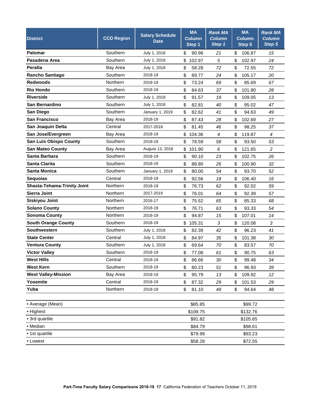| <b>District</b>                    | <b>CCD Region</b> | <b>Salary Schedule</b><br><b>Date</b> | <b>MA</b><br><b>Column</b><br>Step 1 | <b>Rank MA</b><br><b>Column</b><br>Step 1 | <b>MA</b><br><b>Column</b><br>Step 5 | <b>Rank MA</b><br><b>Column</b><br>Step 5 |
|------------------------------------|-------------------|---------------------------------------|--------------------------------------|-------------------------------------------|--------------------------------------|-------------------------------------------|
| <b>Palomar</b>                     | Southern          | July 1, 2018                          | \$<br>90.98                          | 21                                        | \$<br>106.87                         | 15                                        |
| Pasadena Area                      | Southern          | July 1, 2018                          | \$<br>102.97                         | 5                                         | \$<br>102.97                         | 24                                        |
| <b>Peralta</b>                     | Bay Area          | July 1, 2018                          | \$<br>58.28                          | 72                                        | \$<br>72.55                          | 72                                        |
| <b>Rancho Santiago</b>             | Southern          | 2018-19                               | \$<br>89.77                          | 24                                        | \$<br>105.17                         | 20                                        |
| <b>Redwoods</b>                    | Northern          | 2018-19                               | \$<br>73.24                          | 69                                        | \$<br>85.69                          | 67                                        |
| <b>Rio Hondo</b>                   | Southern          | 2018-19                               | \$<br>84.63                          | 37                                        | 101.80<br>\$                         | 28                                        |
| <b>Riverside</b>                   | Southern          | July 1, 2018                          | \$<br>91.57                          | 19                                        | \$<br>109.05                         | 13                                        |
| San Bernardino                     | Southern          | July 1, 2018                          | \$<br>82.81                          | 40                                        | \$<br>95.02                          | 47                                        |
| San Diego                          | Southern          | January 1, 2019                       | \$<br>82.62                          | 41                                        | \$<br>94.63                          | 49                                        |
| <b>San Francisco</b>               | Bay Area          | 2018-19                               | \$<br>87.43                          | 28                                        | \$<br>102.69                         | 27                                        |
| San Joaquin Delta                  | Central           | 2017-2018                             | \$<br>81.45                          | 46                                        | \$<br>98.25                          | 37                                        |
| San Jose/Evergreen                 | Bay Area          | 2018-19                               | \$<br>104.36                         | 4                                         | \$<br>119.87                         | $\overline{4}$                            |
| <b>San Luis Obispo County</b>      | Southern          | 2018-19                               | \$<br>78.59                          | 58                                        | \$<br>93.50                          | 53                                        |
| <b>San Mateo County</b>            | Bay Area          | August 13, 2018                       | \$<br>101.90                         | 6                                         | \$<br>121.65                         | $\overline{c}$                            |
| Santa Barbara                      | Southern          | 2018-19                               | \$<br>90.10                          | 23                                        | \$<br>102.75                         | 26                                        |
| <b>Santa Clarita</b>               | Southern          | 2018-19                               | \$<br>88.80                          | 26                                        | \$<br>100.90                         | 32                                        |
| <b>Santa Monica</b>                | Southern          | January 1, 2019                       | \$<br>80.00                          | 54                                        | \$<br>93.70                          | 52                                        |
| <b>Sequoias</b>                    | Central           | 2018-19                               | \$<br>92.56                          | 18                                        | \$<br>106.40                         | 16                                        |
| <b>Shasta-Tehama-Trinity Joint</b> | Northern          | 2018-19                               | \$<br>76.73                          | 62                                        | \$<br>92.02                          | 59                                        |
| <b>Sierra Joint</b>                | Northern          | 2017-2019                             | \$<br>76.01                          | 64                                        | \$<br>92.39                          | 57                                        |
| <b>Siskiyou Joint</b>              | Northern          | 2016-17                               | \$<br>75.52                          | 65                                        | \$<br>85.33                          | 68                                        |
| <b>Solano County</b>               | Northern          | 2018-19                               | \$<br>76.71                          | 63                                        | \$<br>93.33                          | 54                                        |
| <b>Sonoma County</b>               | Northern          | 2018-19                               | \$<br>94.87                          | 15                                        | \$<br>107.01                         | 14                                        |
| <b>South Orange County</b>         | Southern          | 2018-19                               | \$<br>105.31                         | 3                                         | \$<br>120.08                         | 3                                         |
| <b>Southwestern</b>                | Southern          | July 1, 2018                          | \$<br>82.39                          | 42                                        | \$<br>96.23                          | 41                                        |
| <b>State Center</b>                | Central           | July 1, 2018                          | \$<br>84.97                          | 35                                        | \$<br>101.38                         | 30                                        |
| <b>Ventura County</b>              | Southern          | July 1, 2018                          | \$<br>69.64                          | 70                                        | \$<br>83.57                          | 70                                        |
| <b>Victor Valley</b>               | Southern          | 2018-19                               | \$<br>77.08                          | 61                                        | \$<br>90.75                          | 63                                        |
| <b>West Hills</b>                  | Central           | 2018-19                               | \$<br>86.66                          | 30                                        | \$<br>99.48                          | 34                                        |
| <b>West Kern</b>                   | Southern          | 2018-19                               | \$<br>80.23                          | 51                                        | \$<br>96.93                          | 39                                        |
| <b>West Valley-Mission</b>         | Bay Area          | 2018-19                               | \$<br>95.79                          | 13                                        | \$<br>109.92                         | 12                                        |
| Yosemite                           | Central           | 2018-19                               | \$<br>87.32                          | 29                                        | \$<br>101.53                         | 29                                        |
| Yuba                               | Northern          | 2018-19                               | \$<br>81.10                          | 49                                        | \$<br>94.64                          | 48                                        |
| • Average (Mean)                   |                   |                                       | \$85.85                              |                                           | \$99.72                              |                                           |
| • Highest                          |                   |                                       | \$109.75                             |                                           | \$132.76                             |                                           |
| • 3rd quartile                     |                   |                                       | \$91.82                              |                                           | \$105.65                             |                                           |
| • Median                           |                   |                                       | \$84.79                              |                                           | \$98.61                              |                                           |
| • 1st quartile                     |                   |                                       | \$79.99                              |                                           | \$93.23                              |                                           |
| • Lowest                           |                   |                                       | \$58.28                              |                                           | \$72.55                              |                                           |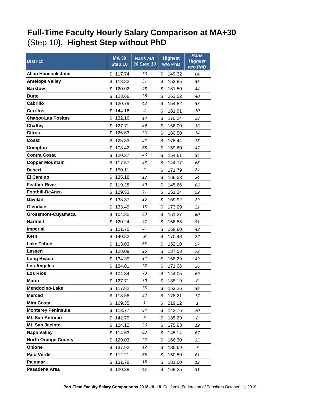## <span id="page-18-0"></span>**Full-Time Faculty Hourly Salary Comparison at MA+30** (Step 10**), Highest Step without PhD**

| <b>District</b>            | <b>MA 30</b><br>Step 10 | <b>Rank MA</b><br>30 Step 10 | <b>Highest</b><br>w/o PhD | <b>Rank</b><br><b>Highest</b><br>w/o PhD |
|----------------------------|-------------------------|------------------------------|---------------------------|------------------------------------------|
| <b>Allan Hancock Joint</b> | \$<br>117.74            | 56                           | \$<br>149.32              | 64                                       |
| <b>Antelope Valley</b>     | \$<br>118.82            | 51                           | \$<br>153.85              | 55                                       |
| <b>Barstow</b>             | \$<br>120.02            | 48                           | \$<br>161.50              | 44                                       |
| <b>Butte</b>               | \$<br>123.66            | 38                           | \$<br>163.02              | 40                                       |
| Cabrillo                   | \$<br>120.79            | 43                           | \$<br>154.82              | 53                                       |
| <b>Cerritos</b>            | \$<br>144.16            | 4                            | \$<br>181.91              | 10                                       |
| <b>Chabot-Las Positas</b>  | \$<br>132.16            | 17                           | \$<br>170.24              | 28                                       |
| <b>Chaffey</b>             | \$<br>127.71            | 29                           | \$<br>166.00              | 36                                       |
| <b>Citrus</b>              | \$<br>126.63            | 33                           | \$<br>180.50              | 14                                       |
| Coast                      | \$<br>125.33            | 34                           | \$<br>178.44              | 16                                       |
| Compton                    | \$<br>108.42            | 68                           | \$<br>159.60              | 47                                       |
| <b>Contra Costa</b>        | \$<br>120.27            | 46                           | \$<br>154.61              | 54                                       |
| <b>Copper Mountain</b>     | \$<br>117.57            | 58                           | \$<br>144.77              | 68                                       |
| <b>Desert</b>              | \$<br>150.11            | 2                            | \$<br>171.79              | 24                                       |
| <b>El Camino</b>           | \$<br>135.18            | 13                           | \$<br>166.53              | 34                                       |
| <b>Feather River</b>       | \$<br>119.28            | 50                           | \$<br>145.66              | 66                                       |
| <b>Foothill-DeAnza</b>     | \$<br>129.53            | 21                           | \$<br>151.34              | 59                                       |
| Gavilan                    | \$<br>133.37            | 16                           | \$<br>169.92              | 29                                       |
| Glendale                   | \$<br>133.49            | 15                           | \$<br>173.29              | 22                                       |
| <b>Grossmont-Cuyamaca</b>  | \$<br>104.80            | 69                           | \$<br>151.27              | 60                                       |
| Hartnell                   | \$<br>120.24            | 47                           | \$<br>156.55              | 51                                       |
| <b>Imperial</b>            | \$<br>121.70            | 41                           | \$<br>158.80              | 48                                       |
| <b>Kern</b>                | \$<br>140.82            | 9                            | \$<br>170.48              | 27                                       |
| <b>Lake Tahoe</b>          | \$<br>113.03            | 65                           | \$<br>152.10              | 57                                       |
| Lassen                     | \$<br>128.09            | 26                           | \$<br>137.53              | 72                                       |
| Long Beach                 | \$<br>134.39            | 14                           | \$<br>158.29              | 49                                       |
| <b>Los Angeles</b>         | \$<br>124.01            | 37                           | \$<br>171.06              | 26                                       |
| <b>Los Rios</b>            | \$<br>104.34            | 70                           | \$<br>144.05              | 69                                       |
| Marin                      | \$127.71                | 30                           | \$<br>188.19              | 6                                        |
| Mendocino-Lake             | \$<br>117.82            | 55                           | \$<br>153.26              | 56                                       |
| <b>Merced</b>              | \$<br>118.58            | 52                           | \$<br>178.21              | 17                                       |
| <b>Mira Costa</b>          | \$<br>169.35            | 1                            | \$<br>219.12              | 1                                        |
| <b>Monterey Peninsula</b>  | \$<br>113.77            | 64                           | \$<br>142.76              | 70                                       |
| Mt. San Antonio            | \$<br>142.79            | 6                            | \$<br>185.29              | 8                                        |
| Mt. San Jacinto            | \$<br>124.12            | 36                           | \$<br>175.93              | 19                                       |
| Napa Valley                | \$<br>114.53            | 63                           | \$<br>145.14              | 67                                       |
| <b>North Orange County</b> | \$<br>129.03            | 23                           | \$<br>166.30              | 35                                       |
| Ohlone                     | \$<br>137.92            | 12                           | \$<br>185.69              | 7                                        |
| Palo Verde                 | \$<br>112.21            | 66                           | \$<br>150.50              | 61                                       |
| Palomar                    | \$<br>131.78            | 18                           | \$<br>181.00              | 12                                       |
| Pasadena Area              | \$<br>120.38            | 45                           | \$<br>168.25              | 31                                       |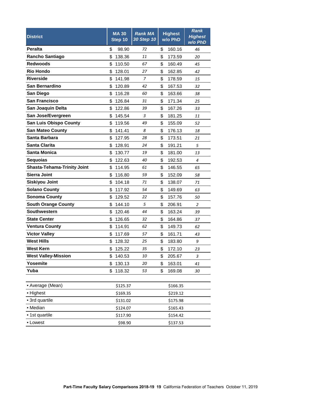| <b>District</b>                    | <b>MA 30</b><br>Step 10 | <b>Rank MA</b><br>30 Step 10 | <b>Highest</b><br>w/o PhD | <b>Rank</b><br><b>Highest</b><br>w/o PhD |
|------------------------------------|-------------------------|------------------------------|---------------------------|------------------------------------------|
| <b>Peralta</b>                     | \$<br>98.90             | 72                           | \$<br>160.16              | 46                                       |
| <b>Rancho Santiago</b>             | \$<br>138.36            | 11                           | \$<br>173.59              | 20                                       |
| <b>Redwoods</b>                    | \$<br>110.50            | 67                           | \$<br>160.49              | 45                                       |
| <b>Rio Hondo</b>                   | \$<br>128.01            | 27                           | \$<br>162.85              | 42                                       |
| <b>Riverside</b>                   | \$<br>141.98            | 7                            | \$<br>178.59              | 15                                       |
| San Bernardino                     | \$<br>120.89            | 42                           | \$<br>167.53              | 32                                       |
| San Diego                          | \$<br>116.28            | 60                           | \$<br>163.66              | 38                                       |
| <b>San Francisco</b>               | \$<br>126.84            | 31                           | \$<br>171.34              | 25                                       |
| San Joaquin Delta                  | \$<br>122.86            | 39                           | \$<br>167.26              | 33                                       |
| San Jose/Evergreen                 | \$<br>145.54            | 3                            | \$<br>181.25              | 11                                       |
| <b>San Luis Obispo County</b>      | \$<br>119.56            | 49                           | \$<br>155.09              | 52                                       |
| <b>San Mateo County</b>            | \$<br>141.41            | 8                            | \$<br>176.13              | 18                                       |
| Santa Barbara                      | \$<br>127.95            | 28                           | \$<br>173.51              | 21                                       |
| <b>Santa Clarita</b>               | \$<br>128.91            | 24                           | \$<br>191.21              | 5                                        |
| <b>Santa Monica</b>                | \$<br>130.77            | 19                           | \$<br>181.00              | 13                                       |
| <b>Sequoias</b>                    | \$<br>122.63            | 40                           | \$<br>192.53              | 4                                        |
| <b>Shasta-Tehama-Trinity Joint</b> | \$<br>114.95            | 61                           | \$<br>146.55              | 65                                       |
| <b>Sierra Joint</b>                | \$<br>116.80            | 59                           | \$<br>152.09              | 58                                       |
| <b>Siskiyou Joint</b>              | \$<br>104.18            | 71                           | \$<br>138.07              | 71                                       |
| <b>Solano County</b>               | \$<br>117.92            | 54                           | \$<br>149.69              | 63                                       |
| <b>Sonoma County</b>               | \$<br>129.52            | 22                           | \$<br>157.76              | 50                                       |
| <b>South Orange County</b>         | \$<br>144.10            | 5                            | \$<br>206.91              | 2                                        |
| <b>Southwestern</b>                | \$<br>120.46            | 44                           | \$<br>163.24              | 39                                       |
| <b>State Center</b>                | \$<br>126.65            | 32                           | \$<br>164.86              | 37                                       |
| <b>Ventura County</b>              | \$<br>114.91            | 62                           | \$<br>149.73              | 62                                       |
| <b>Victor Valley</b>               | \$<br>117.69            | 57                           | \$<br>161.71              | 43                                       |
| <b>West Hills</b>                  | \$<br>128.32            | 25                           | \$<br>183.80              | 9                                        |
| <b>West Kern</b>                   | \$<br>125.22            | 35                           | \$<br>172.10              | 23                                       |
| <b>West Valley-Mission</b>         | \$<br>140.53            | 10                           | \$<br>205.67              | 3                                        |
| Yosemite                           | \$<br>130.13            | 20                           | \$<br>163.01              | 41                                       |
| Yuba                               | \$<br>118.32            | 53                           | \$<br>169.08              | 30                                       |
| • Average (Mean)                   | \$125.37                |                              | \$166.35                  |                                          |
| • Highest                          | \$169.35                |                              | \$219.12                  |                                          |
| • 3rd quartile                     | \$131.02                |                              | \$175.98                  |                                          |
| • Median                           | \$124.07                |                              | \$165.43                  |                                          |
| • 1st quartile                     | \$117.90                |                              | \$154.42                  |                                          |
| • Lowest                           | \$98.90                 |                              | \$137.53                  |                                          |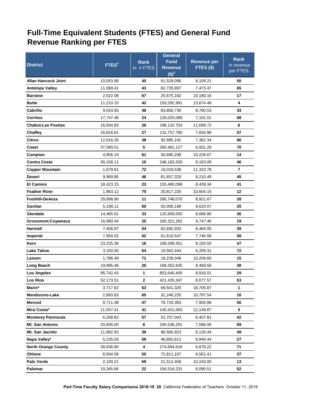## **Full-Time Equivalent Students (FTES) and General Fund Revenue Ranking per FTES**

|                                              |                        |              | <b>General</b>             |                       | <b>Rank</b>             |
|----------------------------------------------|------------------------|--------------|----------------------------|-----------------------|-------------------------|
| <b>District</b>                              | FTES <sup>1</sup>      | Rank         | Fund                       | <b>Revenue per</b>    | in revenue              |
|                                              |                        | in #FTES     | <b>Revenue</b><br>$(S)^2$  | FTES (\$)             | per FTES                |
| <b>Allan Hancock Joint</b>                   | 10,053.89              | 45           | 81,529,096                 | 8,109.21              | 50                      |
| <b>Antelope Valley</b>                       | 11,069.41              | 43           | 82,726,897                 | 7,473.47              | 65                      |
| <b>Barstow</b>                               | 2,522.08               | 67           | 25,675,182                 | 10,180.16             | 17                      |
| <b>Butte</b>                                 | 11,210.15              | 42           | 153,292,991                | 13,674.48             | 4                       |
| Cabrillo                                     |                        | 48           |                            |                       | 33                      |
|                                              | 9,543.93               |              | 83,800,738                 | 8,780.53              |                         |
| <b>Cerritos</b><br><b>Chabot-Las Positas</b> | 17,747.48<br>16,934.83 | 24<br>26     | 126,025,089<br>198,132,703 | 7,101.01<br>11,699.72 | 68<br>6                 |
|                                              |                        |              |                            |                       | 57                      |
| Chaffey                                      | 16,816.61              | 27           | 131,757,780                | 7,834.98              | 66                      |
| <b>Citrus</b>                                | 12,616.26              | 38           | 92,885,191                 | 7,362.34              |                         |
| Coast                                        | 37,580.51              | 5            | 260,481,127                | 6,931.28              | 70                      |
| Compton                                      | 4,956.19               | 61           | 50,685,299                 | 10,226.67             | 14                      |
| <b>Contra Costa</b>                          | 30,158.11              | 10           | 246,183,326                | 8,163.09              | 46                      |
| <b>Copper Mountain</b>                       | 1,679.61               | 72           | 19,019,538                 | 11,323.78             | $\overline{\mathbf{r}}$ |
| <b>Desert</b>                                | 9,969.85               | 46           | 81,857,329                 | 8,210.49              | 45                      |
| <b>El Camino</b>                             | 18,423.25              | 23           | 155,480,098                | 8,439.34              | 41                      |
| <b>Feather River</b>                         | 1,963.12               | 70           | 20,817,220                 | 10,604.15             | 12                      |
| Foothill-DeAnza                              | 29,898.90              | 11           | 266,748,070                | 8,921.67              | 28                      |
| Gavilan                                      | 5,198.11               | 60           | 50,006,188                 | 9,620.07              | 20                      |
| Glendale                                     | 14,465.51              | 33           | 125,659,050                | 8,686.80              | 36                      |
| Grossmont-Cuyamaca                           | 16,960.44              | 25           | 165,321,282                | 9,747.46              | 19                      |
| <b>Hartnell</b>                              | 7,406.97               | 54           | 62,692,933                 | 8,464.05              | 39                      |
| Imperial                                     | 7,954.03               | 52           | 61,616,547                 | 7,746.58              | 58                      |
| Kern                                         | 23,225.36              | 16           | 189,299,351                | 8,150.55              | 47                      |
| Lake Tahoe                                   | 3,150.50               | 64           | 19,562,444                 | 6,209.31              | 72                      |
| Lassen                                       | 1,786.49               | 71           | 18,239,348                 | 10,209.60             | 15                      |
| Long Beach                                   | 19,995.46              | 20           | 169,352,835                | 8,469.56              | 38                      |
| <b>Los Angeles</b>                           | 95,742.43              | 1            | 853,640,405                | 8,916.01              | 29                      |
| <b>Los Rios</b>                              | 52,173.51              | $\mathbf{2}$ | 421,435,347                | 8,077.57              | 53                      |
| Marin*                                       | 3,717.62               | 63           | 69,541,325                 | 18,705.87             | 1                       |
| Mendocino-Lake                               | 2,893.83               | 65           | 31,246,235                 | 10,797.54             | 10                      |
| <b>Merced</b>                                | 9,711.38               | 47           | 76,729,393                 | 7,900.98              | 56                      |
| Mira Costa*                                  | 11,557.41              | 41           | 140,421,063                | 12,149.87             | 5                       |
| <b>Monterey Peninsula</b>                    | 6,268.82               | 57           | 52,707,043                 | 8,407.81              | 42                      |
| Mt. San Antonio                              | 33,945.00              | 6            | 240,536,291                | 7,086.06              | 69                      |
| Mt. San Jacinto                              | 11,882.93              | 39           | 96,565,923                 | 8,126.44              | 49                      |
| Napa Valley*                                 | 5,235.03               | 59           | 46,850,612                 | 8,949.44              | 27                      |
| <b>North Orange County</b>                   | 39,936.90              | 4            | 274,694,616                | 6,878.22              | 71                      |
| Ohlone                                       | 8,504.58               | 50           | 72,811,197                 | 8,561.41              | 37                      |
| Palo Verde                                   | 2,100.21               | 69           | 21,512,458                 | 10,243.00             | 13                      |
| Palomar                                      | 19,345.66              | 22           | 156,516,231                | 8,090.51              | 52                      |